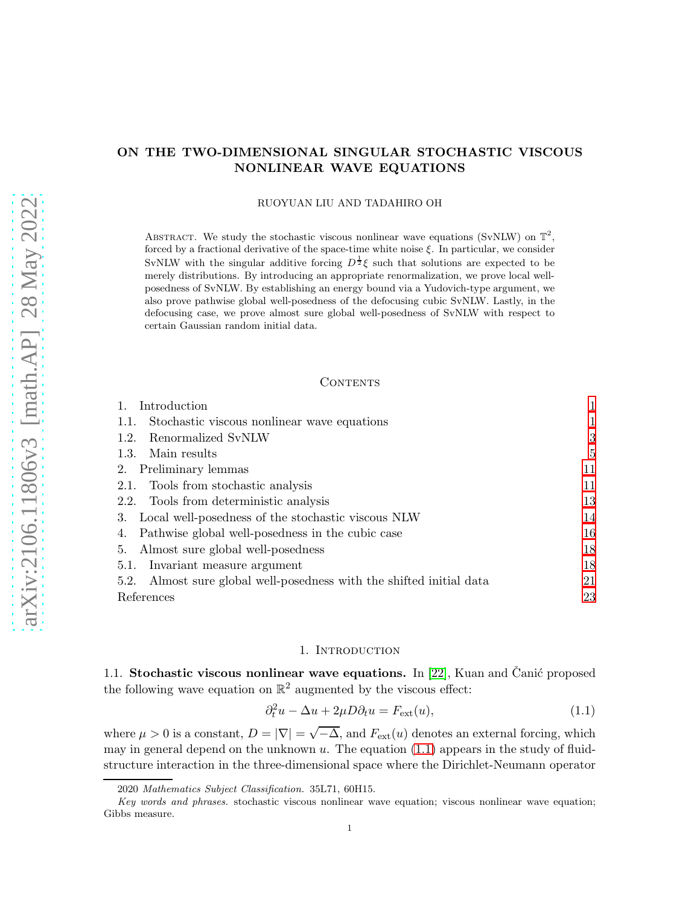# ON THE TWO-DIMENSIONAL SINGULAR STOCHASTIC VISCOUS NONLINEAR WAVE EQUATIONS

RUOYUAN LIU AND TADAHIRO OH

ABSTRACT. We study the stochastic viscous nonlinear wave equations (SvNLW) on  $\mathbb{T}^2$ , forced by a fractional derivative of the space-time white noise  $\xi$ . In particular, we consider SvNLW with the singular additive forcing  $D^{\frac{1}{2}}\xi$  such that solutions are expected to be merely distributions. By introducing an appropriate renormalization, we prove local wellposedness of SvNLW. By establishing an energy bound via a Yudovich-type argument, we also prove pathwise global well-posedness of the defocusing cubic SvNLW. Lastly, in the defocusing case, we prove almost sure global well-posedness of SvNLW with respect to certain Gaussian random initial data.

### **CONTENTS**

| Introduction                                                            |    |
|-------------------------------------------------------------------------|----|
| Stochastic viscous nonlinear wave equations<br>1.1.                     |    |
| Renormalized SvNLW<br>1.2.                                              | 3  |
| 1.3. Main results                                                       | 5  |
| 2. Preliminary lemmas                                                   | 11 |
| 2.1. Tools from stochastic analysis                                     | 11 |
| 2.2. Tools from deterministic analysis                                  | 13 |
| Local well-posedness of the stochastic viscous NLW<br>3.                | 14 |
| Pathwise global well-posedness in the cubic case<br>4.                  | 16 |
| Almost sure global well-posedness<br>5.                                 | 18 |
| 5.1. Invariant measure argument                                         | 18 |
| Almost sure global well-posedness with the shifted initial data<br>5.2. | 21 |
| References                                                              | 23 |

## <span id="page-0-2"></span>1. INTRODUCTION

<span id="page-0-1"></span><span id="page-0-0"></span>1.1. Stochastic viscous nonlinear wave equations. In [\[22\]](#page-22-1), Kuan and Čanić proposed the following wave equation on  $\mathbb{R}^2$  augmented by the viscous effect:

$$
\partial_t^2 u - \Delta u + 2\mu D \partial_t u = F_{\text{ext}}(u),\tag{1.1}
$$

where  $\mu > 0$  is a constant,  $D = |\nabla| = \sqrt{-\Delta}$ , and  $F_{ext}(u)$  denotes an external forcing, which may in general depend on the unknown  $u$ . The equation  $(1.1)$  appears in the study of fluidstructure interaction in the three-dimensional space where the Dirichlet-Neumann operator

<sup>2020</sup> *Mathematics Subject Classification.* 35L71, 60H15.

*Key words and phrases.* stochastic viscous nonlinear wave equation; viscous nonlinear wave equation; Gibbs measure.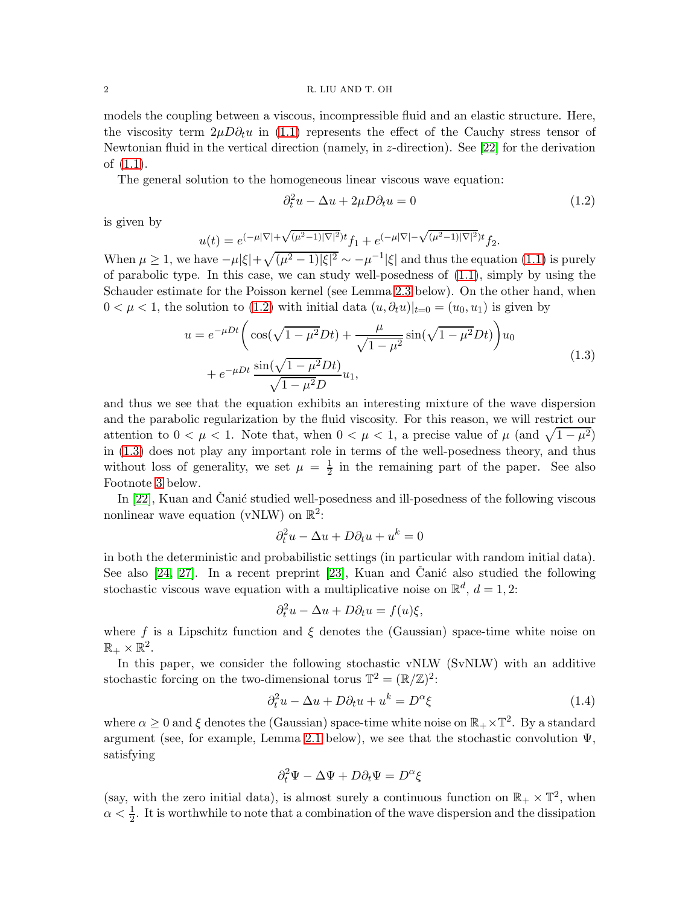#### 2 R. LIU AND T. OH

models the coupling between a viscous, incompressible fluid and an elastic structure. Here, the viscosity term  $2\mu D\partial_t u$  in [\(1.1\)](#page-0-2) represents the effect of the Cauchy stress tensor of Newtonian fluid in the vertical direction (namely, in  $z$ -direction). See [\[22\]](#page-22-1) for the derivation of [\(1.1\)](#page-0-2).

The general solution to the homogeneous linear viscous wave equation:

<span id="page-1-1"></span><span id="page-1-0"></span>
$$
\partial_t^2 u - \Delta u + 2\mu D \partial_t u = 0 \tag{1.2}
$$

is given by

$$
u(t) = e^{(-\mu|\nabla| + \sqrt{(\mu^2 - 1)|\nabla|^2})t} f_1 + e^{(-\mu|\nabla| - \sqrt{(\mu^2 - 1)|\nabla|^2})t} f_2.
$$

When  $\mu \ge 1$ , we have  $-\mu |\xi| + \sqrt{(\mu^2 - 1)|\xi|^2} \sim -\mu^{-1} |\xi|$  and thus the equation [\(1.1\)](#page-0-2) is purely of parabolic type. In this case, we can study well-posedness of [\(1.1\)](#page-0-2), simply by using the Schauder estimate for the Poisson kernel (see Lemma [2.3](#page-12-1) below). On the other hand, when  $0 < \mu < 1$ , the solution to [\(1.2\)](#page-1-0) with initial data  $(u, \partial_t u)|_{t=0} = (u_0, u_1)$  is given by

$$
u = e^{-\mu Dt} \left( \cos(\sqrt{1 - \mu^2} Dt) + \frac{\mu}{\sqrt{1 - \mu^2}} \sin(\sqrt{1 - \mu^2} Dt) \right) u_0 + e^{-\mu Dt} \frac{\sin(\sqrt{1 - \mu^2} Dt)}{\sqrt{1 - \mu^2} D} u_1,
$$
\n(1.3)

and thus we see that the equation exhibits an interesting mixture of the wave dispersion and the parabolic regularization by the fluid viscosity. For this reason, we will restrict our attention to  $0 < \mu < 1$ . Note that, when  $0 < \mu < 1$ , a precise value of  $\mu$  (and  $\sqrt{1 - \mu^2}$ ) in [\(1.3\)](#page-1-1) does not play any important role in terms of the well-posedness theory, and thus without loss of generality, we set  $\mu = \frac{1}{2}$  $\frac{1}{2}$  in the remaining part of the paper. See also Footnote [3](#page-8-0) below.

In  $[22]$ , Kuan and Canić studied well-posedness and ill-posedness of the following viscous nonlinear wave equation (vNLW) on  $\mathbb{R}^2$ :

$$
\partial_t^2 u - \Delta u + D\partial_t u + u^k = 0
$$

in both the deterministic and probabilistic settings (in particular with random initial data). See also  $[24, 27]$  $[24, 27]$ . In a recent preprint  $[23]$ , Kuan and Čanić also studied the following stochastic viscous wave equation with a multiplicative noise on  $\mathbb{R}^d$ ,  $d=1,2$ :

$$
\partial_t^2 u - \Delta u + D\partial_t u = f(u)\xi,
$$

where f is a Lipschitz function and  $\xi$  denotes the (Gaussian) space-time white noise on  $\mathbb{R}_+ \times \mathbb{R}^2$ .

In this paper, we consider the following stochastic vNLW (SvNLW) with an additive stochastic forcing on the two-dimensional torus  $\mathbb{T}^2 = (\mathbb{R}/\mathbb{Z})^2$ :

<span id="page-1-2"></span>
$$
\partial_t^2 u - \Delta u + D\partial_t u + u^k = D^\alpha \xi \tag{1.4}
$$

where  $\alpha \geq 0$  and  $\xi$  denotes the (Gaussian) space-time white noise on  $\mathbb{R}_+ \times \mathbb{T}^2$ . By a standard argument (see, for example, Lemma [2.1](#page-10-2) below), we see that the stochastic convolution  $\Psi$ , satisfying

$$
\partial_t^2 \Psi - \Delta \Psi + D \partial_t \Psi = D^{\alpha} \xi
$$

(say, with the zero initial data), is almost surely a continuous function on  $\mathbb{R}_+ \times \mathbb{T}^2$ , when  $\alpha < \frac{1}{2}$ . It is worthwhile to note that a combination of the wave dispersion and the dissipation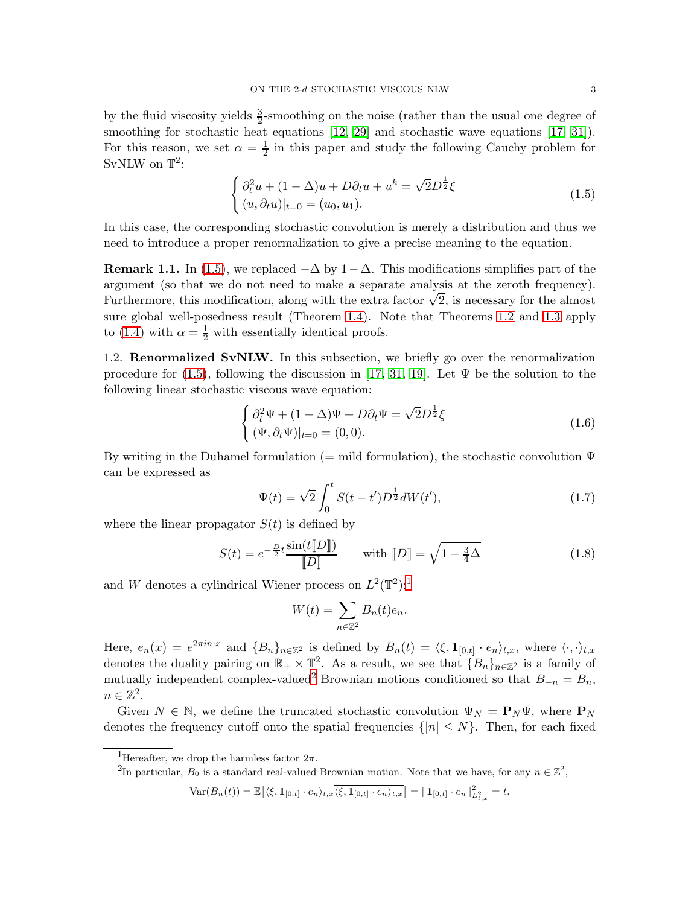by the fluid viscosity yields  $\frac{3}{2}$ -smoothing on the noise (rather than the usual one degree of smoothing for stochastic heat equations [\[12,](#page-22-2) [29\]](#page-23-3) and stochastic wave equations [\[17,](#page-22-3) [31\]](#page-23-4)). For this reason, we set  $\alpha = \frac{1}{2}$  in this paper and study the following Cauchy problem for SvNLW on  $\mathbb{T}^2$ :

<span id="page-2-1"></span>
$$
\begin{cases} \partial_t^2 u + (1 - \Delta)u + D\partial_t u + u^k = \sqrt{2}D^{\frac{1}{2}}\xi \\ (u, \partial_t u)|_{t=0} = (u_0, u_1). \end{cases}
$$
 (1.5)

In this case, the corresponding stochastic convolution is merely a distribution and thus we need to introduce a proper renormalization to give a precise meaning to the equation.

<span id="page-2-5"></span>**Remark 1.1.** In [\(1.5\)](#page-2-1), we replaced  $-\Delta$  by  $1-\Delta$ . This modifications simplifies part of the argument (so that we do not need to make a separate analysis at the zeroth frequency). Furthermore, this modification, along with the extra factor  $\sqrt{2}$ , is necessary for the almost sure global well-posedness result (Theorem [1.4\)](#page-6-0). Note that Theorems [1.2](#page-4-1) and [1.3](#page-5-0) apply to [\(1.4\)](#page-1-2) with  $\alpha = \frac{1}{2}$  with essentially identical proofs.

<span id="page-2-0"></span>1.2. Renormalized SvNLW. In this subsection, we briefly go over the renormalization procedure for [\(1.5\)](#page-2-1), following the discussion in [\[17,](#page-22-3) [31,](#page-23-4) [19\]](#page-22-4). Let  $\Psi$  be the solution to the following linear stochastic viscous wave equation:

$$
\begin{cases} \partial_t^2 \Psi + (1 - \Delta)\Psi + D\partial_t \Psi = \sqrt{2}D^{\frac{1}{2}}\xi \\ (\Psi, \partial_t \Psi)|_{t=0} = (0, 0). \end{cases}
$$
 (1.6)

By writing in the Duhamel formulation (= mild formulation), the stochastic convolution  $\Psi$ can be expressed as

<span id="page-2-6"></span><span id="page-2-4"></span>
$$
\Psi(t) = \sqrt{2} \int_0^t S(t - t') D^{\frac{1}{2}} dW(t'), \qquad (1.7)
$$

where the linear propagator  $S(t)$  is defined by

<span id="page-2-7"></span>
$$
S(t) = e^{-\frac{D}{2}t} \frac{\sin(t[\![D]\!])}{[\![D]\!]} \qquad \text{with } [\![D]\!] = \sqrt{1 - \frac{3}{4}\Delta} \tag{1.8}
$$

and W denotes a cylindrical Wiener process on  $L^2(\mathbb{T}^2)$ :

$$
W(t) = \sum_{n \in \mathbb{Z}^2} B_n(t)e_n.
$$

Here,  $e_n(x) = e^{2\pi i n \cdot x}$  and  ${B_n}_{n \in \mathbb{Z}^2}$  is defined by  $B_n(t) = \langle \xi, \mathbf{1}_{[0,t]} \cdot e_n \rangle_{t,x}$ , where  $\langle \cdot, \cdot \rangle_{t,x}$ denotes the duality pairing on  $\mathbb{R}_+ \times \mathbb{T}^2$ . As a result, we see that  $\{B_n\}_{n \in \mathbb{Z}^2}$  is a family of mutually independent complex-valued<sup>[2](#page-2-3)</sup> Brownian motions conditioned so that  $B_{-n} = \overline{B_n}$ ,  $n \in \mathbb{Z}^2$ .

Given  $N \in \mathbb{N}$ , we define the truncated stochastic convolution  $\Psi_N = \mathbf{P}_N \Psi$ , where  $\mathbf{P}_N$ denotes the frequency cutoff onto the spatial frequencies  $\{|n| \leq N\}$ . Then, for each fixed

<span id="page-2-3"></span><span id="page-2-2"></span><sup>2</sup>In particular,  $B_0$  is a standard real-valued Brownian motion. Note that we have, for any  $n \in \mathbb{Z}^2$ ,

$$
\text{Var}(B_n(t)) = \mathbb{E}\big[\langle \xi, \mathbf{1}_{[0,t]}\cdot e_n \rangle_{t,x} \overline{\langle \xi, \mathbf{1}_{[0,t]}\cdot e_n \rangle_{t,x}}\big] = \|\mathbf{1}_{[0,t]}\cdot e_n\|_{L^2_{t,x}}^2 = t.
$$

<sup>&</sup>lt;sup>1</sup>Hereafter, we drop the harmless factor  $2\pi$ .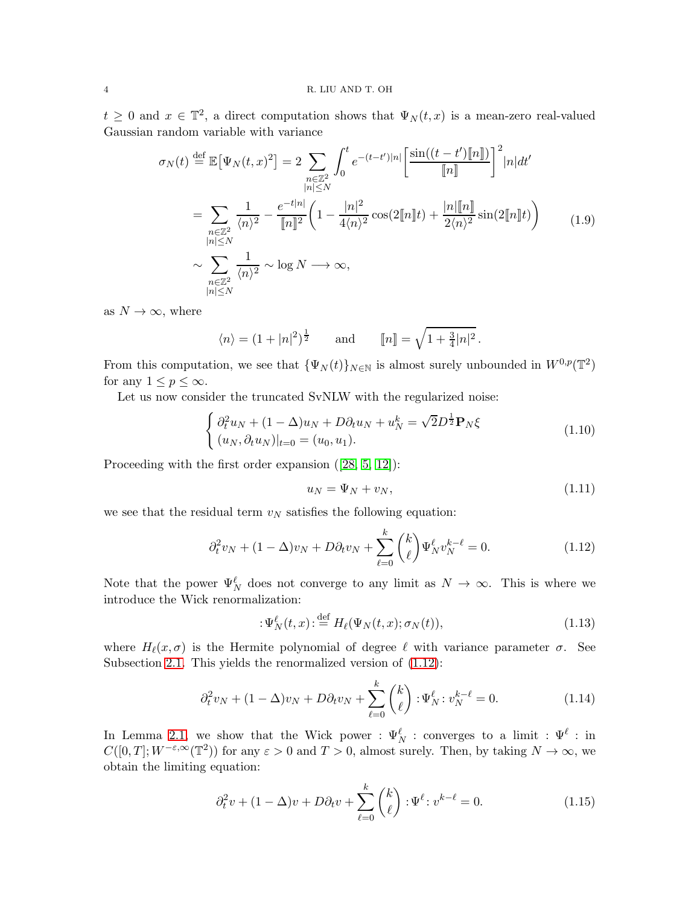$t \geq 0$  and  $x \in \mathbb{T}^2$ , a direct computation shows that  $\Psi_N(t,x)$  is a mean-zero real-valued Gaussian random variable with variance

$$
\sigma_N(t) \stackrel{\text{def}}{=} \mathbb{E}[\Psi_N(t,x)^2] = 2 \sum_{\substack{n \in \mathbb{Z}^2 \\ |n| \le N}} \int_0^t e^{-(t-t')|n|} \left[ \frac{\sin((t-t')[\![n]\!])}{[\![n]\!]}\right]^2 |n|dt'
$$
  
\n
$$
= \sum_{\substack{n \in \mathbb{Z}^2 \\ |n| \le N}} \frac{1}{\langle n \rangle^2} - \frac{e^{-t|n|}}{[\![n]\!]^2} \left(1 - \frac{|n|^2}{4\langle n \rangle^2} \cos(2[\![n]\!]) + \frac{|n|[\![n]\!]}{2\langle n \rangle^2} \sin(2[\![n]\!])\right)
$$
  
\n
$$
\sim \sum_{\substack{n \in \mathbb{Z}^2 \\ |n| \le N}} \frac{1}{\langle n \rangle^2} \sim \log N \longrightarrow \infty,
$$
  
\n(1.9)

as  $N \to \infty$ , where

<span id="page-3-4"></span>
$$
\langle n \rangle = (1 + |n|^2)^{\frac{1}{2}}
$$
 and  $[n] = \sqrt{1 + \frac{3}{4}|n|^2}$ .

From this computation, we see that  $\{\Psi_N(t)\}_{N\in\mathbb{N}}$  is almost surely unbounded in  $W^{0,p}(\mathbb{T}^2)$ for any  $1 \leq p \leq \infty$ .

Let us now consider the truncated SvNLW with the regularized noise:

$$
\begin{cases} \partial_t^2 u_N + (1 - \Delta) u_N + D \partial_t u_N + u_N^k = \sqrt{2} D^{\frac{1}{2}} \mathbf{P}_N \xi \\ (u_N, \partial_t u_N)|_{t=0} = (u_0, u_1). \end{cases}
$$
(1.10)

Proceeding with the first order expansion([\[28,](#page-23-5) [5,](#page-22-5) [12\]](#page-22-2)):

<span id="page-3-6"></span><span id="page-3-1"></span>
$$
u_N = \Psi_N + v_N, \tag{1.11}
$$

we see that the residual term  $v_N$  satisfies the following equation:

<span id="page-3-0"></span>
$$
\partial_t^2 v_N + (1 - \Delta)v_N + D\partial_t v_N + \sum_{\ell=0}^k \binom{k}{\ell} \Psi_N^{\ell} v_N^{k-\ell} = 0.
$$
 (1.12)

Note that the power  $\Psi_N^{\ell}$  does not converge to any limit as  $N \to \infty$ . This is where we introduce the Wick renormalization:

<span id="page-3-5"></span>
$$
:\Psi_N^{\ell}(t,x):\stackrel{\text{def}}{=}H_{\ell}(\Psi_N(t,x);\sigma_N(t)),\tag{1.13}
$$

where  $H_{\ell}(x, \sigma)$  is the Hermite polynomial of degree  $\ell$  with variance parameter  $\sigma$ . See Subsection [2.1.](#page-10-1) This yields the renormalized version of [\(1.12\)](#page-3-0):

<span id="page-3-2"></span>
$$
\partial_t^2 v_N + (1 - \Delta)v_N + D\partial_t v_N + \sum_{\ell=0}^k {k \choose \ell} : \Psi_N^{\ell} : v_N^{k-\ell} = 0.
$$
 (1.14)

In Lemma [2.1,](#page-10-2) we show that the Wick power :  $\Psi_N^{\ell}$  : converges to a limit :  $\Psi^{\ell}$  : in  $C([0,T]; W^{-\varepsilon,\infty}(\mathbb{T}^2))$  for any  $\varepsilon > 0$  and  $T > 0$ , almost surely. Then, by taking  $N \to \infty$ , we obtain the limiting equation:

<span id="page-3-3"></span>
$$
\partial_t^2 v + (1 - \Delta)v + D\partial_t v + \sum_{\ell=0}^k {k \choose \ell} : \Psi^\ell : v^{k-\ell} = 0.
$$
 (1.15)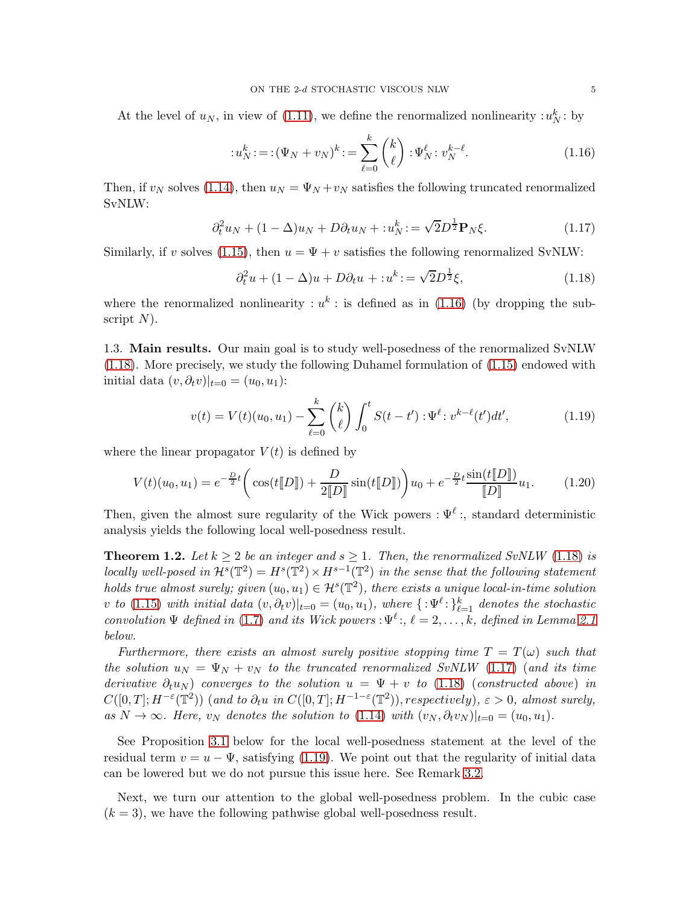At the level of  $u_N$ , in view of [\(1.11\)](#page-3-1), we define the renormalized nonlinearity  $: u_N^k :$  by

<span id="page-4-2"></span>
$$
:u_N^k: = (\Psi_N + v_N)^k: = \sum_{\ell=0}^k \binom{k}{\ell} : \Psi_N^{\ell}: v_N^{k-\ell}.
$$
 (1.16)

Then, if  $v_N$  solves [\(1.14\)](#page-3-2), then  $u_N = \Psi_N + v_N$  satisfies the following truncated renormalized SvNLW:

$$
\partial_t^2 u_N + (1 - \Delta)u_N + D\partial_t u_N + : u_N^k := \sqrt{2}D^{\frac{1}{2}} \mathbf{P}_N \xi.
$$
\n(1.17)

Similarly, if v solves [\(1.15\)](#page-3-3), then  $u = \Psi + v$  satisfies the following renormalized SvNLW:

<span id="page-4-4"></span><span id="page-4-3"></span>
$$
\partial_t^2 u + (1 - \Delta)u + D\partial_t u + : u^k := \sqrt{2}D^{\frac{1}{2}}\xi,\tag{1.18}
$$

where the renormalized nonlinearity :  $u^k$ : is defined as in [\(1.16\)](#page-4-2) (by dropping the subscript  $N$ ).

<span id="page-4-0"></span>1.3. Main results. Our main goal is to study well-posedness of the renormalized SvNLW [\(1.18\)](#page-4-3). More precisely, we study the following Duhamel formulation of [\(1.15\)](#page-3-3) endowed with initial data  $(v, \partial_t v)|_{t=0} = (u_0, u_1)$ :

<span id="page-4-5"></span>
$$
v(t) = V(t)(u_0, u_1) - \sum_{\ell=0}^k {k \choose \ell} \int_0^t S(t - t') : \Psi^\ell : v^{k-\ell}(t')dt', \tag{1.19}
$$

where the linear propagator  $V(t)$  is defined by

<span id="page-4-6"></span>
$$
V(t)(u_0, u_1) = e^{-\frac{D}{2}t} \left( \cos(t \llbracket D \rrbracket) + \frac{D}{2 \llbracket D \rrbracket} \sin(t \llbracket D \rrbracket) \right) u_0 + e^{-\frac{D}{2}t} \frac{\sin(t \llbracket D \rrbracket)}{\llbracket D \rrbracket} u_1. \tag{1.20}
$$

Then, given the almost sure regularity of the Wick powers :  $\Psi^{\ell}$ :, standard deterministic analysis yields the following local well-posedness result.

<span id="page-4-1"></span>**Theorem 1.2.** Let  $k \geq 2$  be an integer and  $s \geq 1$ . Then, the renormalized SvNLW [\(1.18\)](#page-4-3) is locally well-posed in  $\mathcal{H}^s(\mathbb{T}^2) = H^s(\mathbb{T}^2) \times H^{s-1}(\mathbb{T}^2)$  in the sense that the following statement holds true almost surely; given  $(u_0, u_1) \in \mathcal{H}^s(\mathbb{T}^2)$ , there exists a unique local-in-time solution v to [\(1.15\)](#page-3-3) with initial data  $(v, \partial_t v)|_{t=0} = (u_0, u_1)$ , where  $\{:\Psi^{\ell} : \}_{\ell=1}^k$  denotes the stochastic convolution  $\Psi$  defined in [\(1.7\)](#page-2-4) and its Wick powers :  $\Psi^{\ell}$ :,  $\ell = 2, \ldots, k$ , defined in Lemma [2.1](#page-10-2) below.

Furthermore, there exists an almost surely positive stopping time  $T = T(\omega)$  such that the solution  $u_N = \Psi_N + v_N$  to the truncated renormalized SvNLW [\(1.17\)](#page-4-4) (and its time derivative  $\partial_t u_N$ ) converges to the solution  $u = \Psi + v$  to [\(1.18\)](#page-4-3) (constructed above) in  $C([0,T];H^{-\varepsilon}(\mathbb{T}^2))$  (and to  $\partial_t u$  in  $C([0,T];H^{-1-\varepsilon}(\mathbb{T}^2))$ , respectively),  $\varepsilon > 0$ , almost surely, as  $N \to \infty$ . Here,  $v_N$  denotes the solution to [\(1.14\)](#page-3-2) with  $(v_N, \partial_t v_N)|_{t=0} = (u_0, u_1)$ .

See Proposition [3.1](#page-13-1) below for the local well-posedness statement at the level of the residual term  $v = u - \Psi$ , satisfying [\(1.19\)](#page-4-5). We point out that the regularity of initial data can be lowered but we do not pursue this issue here. See Remark [3.2.](#page-14-0)

Next, we turn our attention to the global well-posedness problem. In the cubic case  $(k = 3)$ , we have the following pathwise global well-posedness result.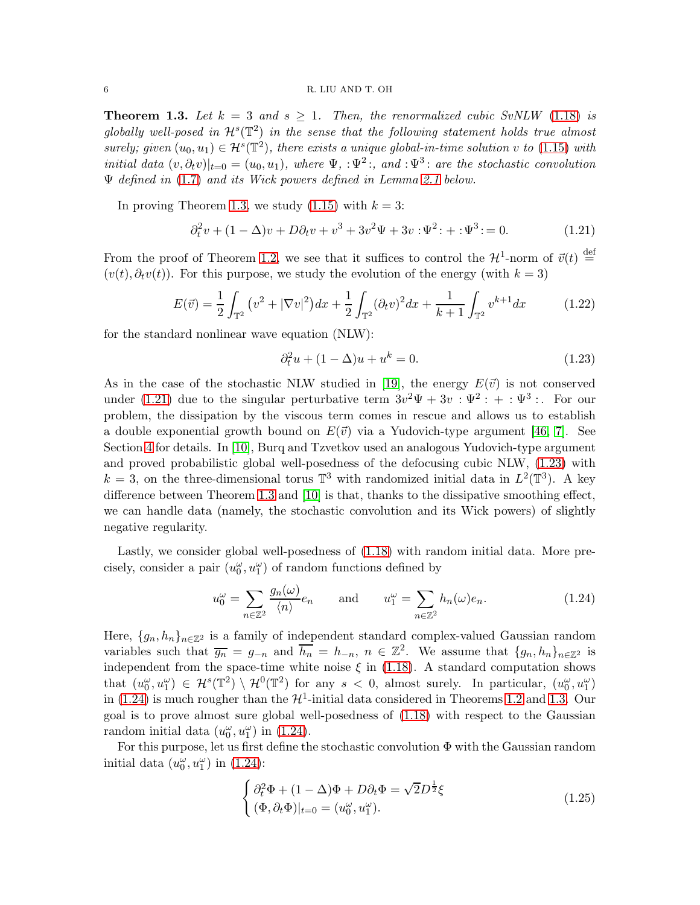<span id="page-5-0"></span>**Theorem 1.3.** Let  $k = 3$  and  $s \ge 1$ . Then, the renormalized cubic SvNLW [\(1.18\)](#page-4-3) is globally well-posed in  $\mathcal{H}^s(\mathbb{T}^2)$  in the sense that the following statement holds true almost surely; given  $(u_0, u_1) \in \mathcal{H}^s(\mathbb{T}^2)$ , there exists a unique global-in-time solution v to [\(1.15\)](#page-3-3) with initial data  $(v, \partial_t v)|_{t=0} = (u_0, u_1)$ , where  $\Psi$ , :  $\Psi^2$ ; and :  $\Psi^3$ : are the stochastic convolution  $\Psi$  defined in [\(1.7\)](#page-2-4) and its Wick powers defined in Lemma [2.1](#page-10-2) below.

In proving Theorem [1.3,](#page-5-0) we study  $(1.15)$  with  $k = 3$ :

<span id="page-5-1"></span>
$$
\partial_t^2 v + (1 - \Delta)v + D\partial_t v + v^3 + 3v^2\Psi + 3v : \Psi^2 : + : \Psi^3 : = 0.
$$
 (1.21)

From the proof of Theorem [1.2,](#page-4-1) we see that it suffices to control the  $\mathcal{H}^1$ -norm of  $\vec{v}(t) \stackrel{\text{def}}{=}$  $(v(t), \partial_t v(t))$ . For this purpose, we study the evolution of the energy (with  $k = 3$ )

<span id="page-5-5"></span>
$$
E(\vec{v}) = \frac{1}{2} \int_{\mathbb{T}^2} \left( v^2 + |\nabla v|^2 \right) dx + \frac{1}{2} \int_{\mathbb{T}^2} (\partial_t v)^2 dx + \frac{1}{k+1} \int_{\mathbb{T}^2} v^{k+1} dx \tag{1.22}
$$

for the standard nonlinear wave equation (NLW):

<span id="page-5-2"></span>
$$
\partial_t^2 u + (1 - \Delta)u + u^k = 0.
$$
\n(1.23)

As in the case of the stochastic NLW studied in [\[19\]](#page-22-4), the energy  $E(\vec{v})$  is not conserved under [\(1.21\)](#page-5-1) due to the singular perturbative term  $3v^2\Psi + 3v : \Psi^2 : + : \Psi^3 :$ . For our problem, the dissipation by the viscous term comes in rescue and allows us to establish a double exponential growth bound on  $E(\vec{v})$  via a Yudovich-type argument [\[46,](#page-23-6) [7\]](#page-22-6). See Section [4](#page-15-0) for details. In [\[10\]](#page-22-7), Burq and Tzvetkov used an analogous Yudovich-type argument and proved probabilistic global well-posedness of the defocusing cubic NLW, [\(1.23\)](#page-5-2) with  $k = 3$ , on the three-dimensional torus  $\mathbb{T}^3$  with randomized initial data in  $L^2(\mathbb{T}^3)$ . A key difference between Theorem [1.3](#page-5-0) and [\[10\]](#page-22-7) is that, thanks to the dissipative smoothing effect, we can handle data (namely, the stochastic convolution and its Wick powers) of slightly negative regularity.

Lastly, we consider global well-posedness of  $(1.18)$  with random initial data. More precisely, consider a pair  $(u_0^\omega,u_1^\omega)$  of random functions defined by

<span id="page-5-3"></span>
$$
u_0^{\omega} = \sum_{n \in \mathbb{Z}^2} \frac{g_n(\omega)}{\langle n \rangle} e_n \quad \text{and} \quad u_1^{\omega} = \sum_{n \in \mathbb{Z}^2} h_n(\omega) e_n. \tag{1.24}
$$

Here,  ${g_n, h_n}_{n \in \mathbb{Z}^2}$  is a family of independent standard complex-valued Gaussian random variables such that  $\overline{g_n} = g_{-n}$  and  $\overline{h_n} = h_{-n}, n \in \mathbb{Z}^2$ . We assume that  $\{g_n, h_n\}_{n \in \mathbb{Z}^2}$  is independent from the space-time white noise  $\xi$  in [\(1.18\)](#page-4-3). A standard computation shows that  $(u_0^{\omega}, u_1^{\omega}) \in \mathcal{H}^s(\mathbb{T}^2) \setminus \mathcal{H}^0(\mathbb{T}^2)$  for any  $s < 0$ , almost surely. In particular,  $(u_0^{\omega}, u_1^{\omega})$ in [\(1.24\)](#page-5-3) is much rougher than the  $\mathcal{H}^1$ -initial data considered in Theorems [1.2](#page-4-1) and [1.3.](#page-5-0) Our goal is to prove almost sure global well-posedness of [\(1.18\)](#page-4-3) with respect to the Gaussian random initial data  $(u_0^{\omega}, u_1^{\omega})$  in [\(1.24\)](#page-5-3).

For this purpose, let us first define the stochastic convolution  $\Phi$  with the Gaussian random initial data  $(u_0^{\omega}, u_1^{\omega})$  in [\(1.24\)](#page-5-3):

<span id="page-5-4"></span>
$$
\begin{cases} \partial_t^2 \Phi + (1 - \Delta)\Phi + D\partial_t \Phi = \sqrt{2}D^{\frac{1}{2}}\xi \\ (\Phi, \partial_t \Phi)|_{t=0} = (u_0^\omega, u_1^\omega). \end{cases}
$$
(1.25)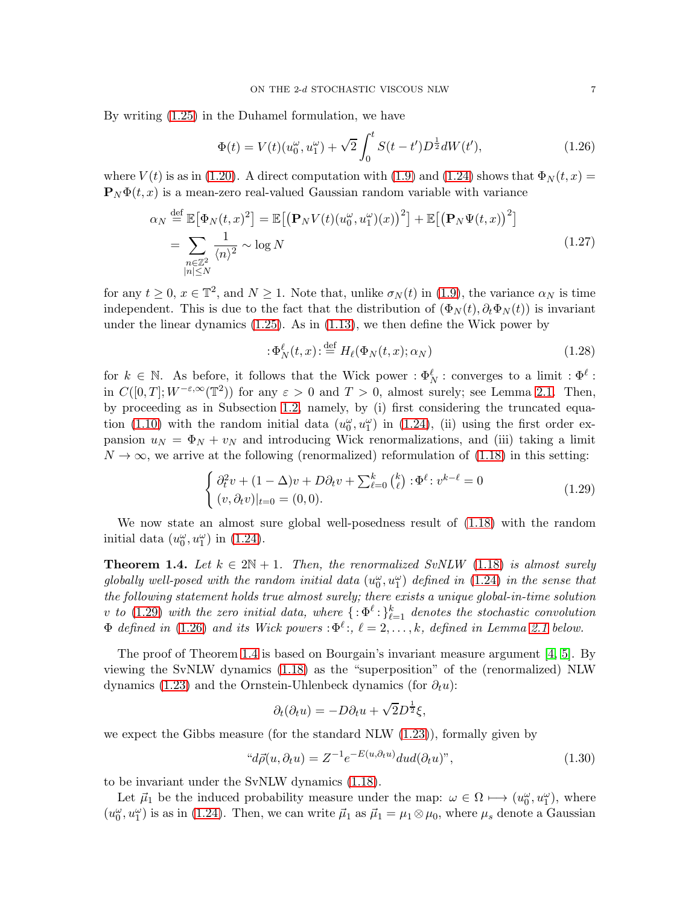By writing [\(1.25\)](#page-5-4) in the Duhamel formulation, we have

<span id="page-6-2"></span>
$$
\Phi(t) = V(t)(u_0^{\omega}, u_1^{\omega}) + \sqrt{2} \int_0^t S(t - t') D^{\frac{1}{2}} dW(t'), \qquad (1.26)
$$

where  $V(t)$  is as in [\(1.20\)](#page-4-6). A direct computation with [\(1.9\)](#page-3-4) and [\(1.24\)](#page-5-3) shows that  $\Phi_N(t, x) =$  $\mathbf{P}_N \Phi(t, x)$  is a mean-zero real-valued Gaussian random variable with variance

$$
\alpha_N \stackrel{\text{def}}{=} \mathbb{E} \big[ \Phi_N(t, x)^2 \big] = \mathbb{E} \big[ \big( \mathbf{P}_N V(t) (u_0^{\omega}, u_1^{\omega}) (x) \big)^2 \big] + \mathbb{E} \big[ \big( \mathbf{P}_N \Psi(t, x) \big)^2 \big]
$$
  
= 
$$
\sum_{\substack{n \in \mathbb{Z}^2 \\ |n| \le N}} \frac{1}{\langle n \rangle^2} \sim \log N
$$
 (1.27)

for any  $t \geq 0$ ,  $x \in \mathbb{T}^2$ , and  $N \geq 1$ . Note that, unlike  $\sigma_N(t)$  in [\(1.9\)](#page-3-4), the variance  $\alpha_N$  is time independent. This is due to the fact that the distribution of  $(\Phi_N(t), \partial_t \Phi_N(t))$  is invariant under the linear dynamics [\(1.25\)](#page-5-4). As in [\(1.13\)](#page-3-5), we then define the Wick power by

<span id="page-6-4"></span><span id="page-6-3"></span>
$$
:\Phi_N^{\ell}(t,x):\stackrel{\text{def}}{=}H_{\ell}(\Phi_N(t,x);\alpha_N)\tag{1.28}
$$

for  $k \in \mathbb{N}$ . As before, it follows that the Wick power :  $\Phi_N^{\ell}$ : converges to a limit :  $\Phi^{\ell}$ : in  $C([0,T]; W^{-\varepsilon,\infty}(\mathbb{T}^2))$  for any  $\varepsilon > 0$  and  $T > 0$ , almost surely; see Lemma [2.1.](#page-10-2) Then, by proceeding as in Subsection [1.2,](#page-2-0) namely, by (i) first considering the truncated equa-tion [\(1.10\)](#page-3-6) with the random initial data  $(u_0^{\omega}, u_1^{\omega})$  in [\(1.24\)](#page-5-3), (ii) using the first order expansion  $u_N = \Phi_N + v_N$  and introducing Wick renormalizations, and (iii) taking a limit  $N \to \infty$ , we arrive at the following (renormalized) reformulation of [\(1.18\)](#page-4-3) in this setting:

<span id="page-6-1"></span>
$$
\begin{cases} \partial_t^2 v + (1 - \Delta)v + D\partial_t v + \sum_{\ell=0}^k {k \choose \ell} : \Phi^\ell : v^{k-\ell} = 0 \\ (v, \partial_t v)|_{t=0} = (0, 0). \end{cases}
$$
(1.29)

We now state an almost sure global well-posedness result of [\(1.18\)](#page-4-3) with the random initial data  $(u_0^{\omega}, u_1^{\omega})$  in [\(1.24\)](#page-5-3).

<span id="page-6-0"></span>**Theorem 1.4.** Let  $k \in 2\mathbb{N} + 1$ . Then, the renormalized SvNLW [\(1.18\)](#page-4-3) is almost surely globally well-posed with the random initial data  $(u_0^{\omega}, u_1^{\omega})$  defined in [\(1.24\)](#page-5-3) in the sense that the following statement holds true almost surely; there exists a unique global-in-time solution v to [\(1.29\)](#page-6-1) with the zero initial data, where  $\{\cdot\Phi^\ell\cdot\}_{\ell=1}^k$  denotes the stochastic convolution  $\Phi$  defined in [\(1.26\)](#page-6-2) and its Wick powers :  $\Phi^{\ell}$ :,  $\ell = 2, \ldots, k$ , defined in Lemma [2.1](#page-10-2) below.

The proof of Theorem [1.4](#page-6-0) is based on Bourgain's invariant measure argument [\[4,](#page-22-8) [5\]](#page-22-5). By viewing the SvNLW dynamics [\(1.18\)](#page-4-3) as the "superposition" of the (renormalized) NLW dynamics [\(1.23\)](#page-5-2) and the Ornstein-Uhlenbeck dynamics (for  $\partial_t u$ ):

<span id="page-6-5"></span>
$$
\partial_t(\partial_t u) = -D\partial_t u + \sqrt{2}D^{\frac{1}{2}}\xi,
$$

we expect the Gibbs measure (for the standard NLW [\(1.23\)](#page-5-2)), formally given by

$$
"d\vec{\rho}(u,\partial_t u) = Z^{-1}e^{-E(u,\partial_t u)}dud(\partial_t u)", \qquad (1.30)
$$

to be invariant under the SvNLW dynamics [\(1.18\)](#page-4-3).

Let  $\vec{\mu}_1$  be the induced probability measure under the map:  $\omega \in \Omega \mapsto (u_0^{\omega}, u_1^{\omega})$ , where  $(u_0^{\omega}, u_1^{\omega})$  is as in [\(1.24\)](#page-5-3). Then, we can write  $\vec{\mu}_1$  as  $\vec{\mu}_1 = \mu_1 \otimes \mu_0$ , where  $\mu_s$  denote a Gaussian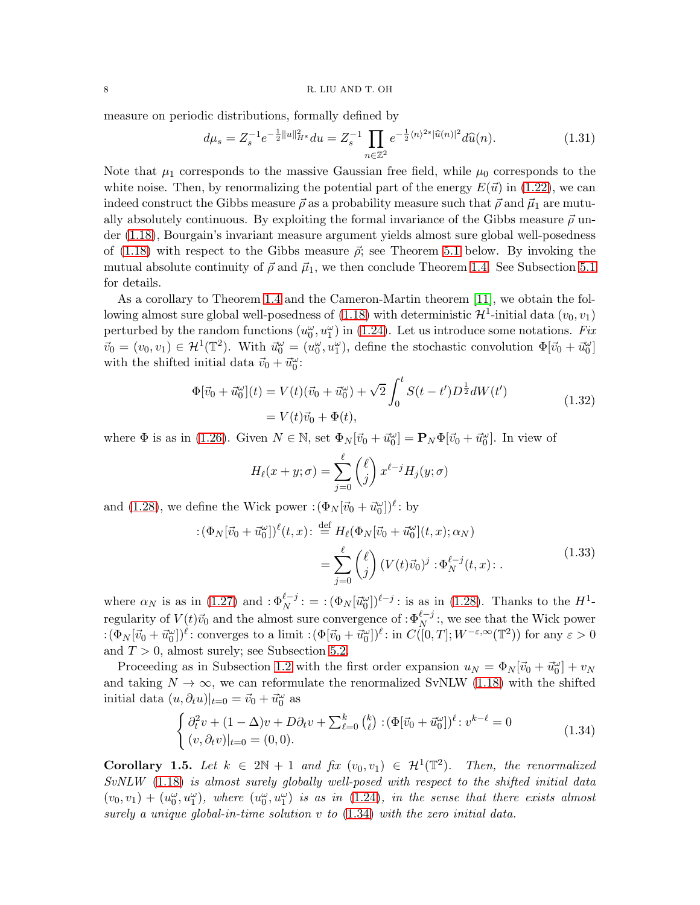measure on periodic distributions, formally defined by

<span id="page-7-3"></span>
$$
d\mu_s = Z_s^{-1} e^{-\frac{1}{2}||u||_{H^s}^2} du = Z_s^{-1} \prod_{n \in \mathbb{Z}^2} e^{-\frac{1}{2} \langle n \rangle^{2s} |\widehat{u}(n)|^2} d\widehat{u}(n).
$$
 (1.31)

Note that  $\mu_1$  corresponds to the massive Gaussian free field, while  $\mu_0$  corresponds to the white noise. Then, by renormalizing the potential part of the energy  $E(\vec{u})$  in [\(1.22\)](#page-5-5), we can indeed construct the Gibbs measure  $\vec{\rho}$  as a probability measure such that  $\vec{\rho}$  and  $\vec{\mu}_1$  are mutually absolutely continuous. By exploiting the formal invariance of the Gibbs measure  $\vec{\rho}$  under [\(1.18\)](#page-4-3), Bourgain's invariant measure argument yields almost sure global well-posedness of [\(1.18\)](#page-4-3) with respect to the Gibbs measure  $\vec{\rho}$ ; see Theorem [5.1](#page-18-0) below. By invoking the mutual absolute continuity of  $\vec{\rho}$  and  $\vec{\mu}_1$ , we then conclude Theorem [1.4.](#page-6-0) See Subsection [5.1](#page-17-1) for details.

As a corollary to Theorem [1.4](#page-6-0) and the Cameron-Martin theorem [\[11\]](#page-22-9), we obtain the following almost sure global well-posedness of  $(1.18)$  with deterministic  $\mathcal{H}^1$ -initial data  $(v_0, v_1)$ perturbed by the random functions  $(u_0^{\omega}, u_1^{\omega})$  in [\(1.24\)](#page-5-3). Let us introduce some notations. Fix  $\vec{v}_0 = (v_0, v_1) \in \mathcal{H}^1(\mathbb{T}^2)$ . With  $\vec{u}_0^{\omega} = (u_0^{\omega}, u_1^{\omega})$ , define the stochastic convolution  $\Phi[\vec{v}_0 + \vec{u}_0^{\omega}]$ with the shifted initial data  $\vec{v}_0 + \vec{u}_0^{\omega}$ :

$$
\Phi[\vec{v}_0 + \vec{u}_0^{\omega}](t) = V(t)(\vec{v}_0 + \vec{u}_0^{\omega}) + \sqrt{2} \int_0^t S(t - t') D^{\frac{1}{2}} dW(t')
$$
\n
$$
= V(t)\vec{v}_0 + \Phi(t),
$$
\n(1.32)

where  $\Phi$  is as in [\(1.26\)](#page-6-2). Given  $N \in \mathbb{N}$ , set  $\Phi_N[\vec{v}_0 + \vec{u}_0^{\omega}] = \mathbf{P}_N \Phi[\vec{v}_0 + \vec{u}_0^{\omega}]$ . In view of

<span id="page-7-4"></span><span id="page-7-1"></span>
$$
H_{\ell}(x+y;\sigma) = \sum_{j=0}^{\ell} {\ell \choose j} x^{\ell-j} H_j(y;\sigma)
$$

and [\(1.28\)](#page-6-3), we define the Wick power  $:(\Phi_N[\vec{v}_0 + \vec{u}_0^{\omega}])^{\ell}$ : by

$$
\begin{split} \left( \Phi_N[\vec{v}_0 + \vec{u}_0^{\omega}] \right)^{\ell}(t,x) &:= \frac{\text{def}}{2} H_{\ell}(\Phi_N[\vec{v}_0 + \vec{u}_0^{\omega}](t,x); \alpha_N) \\ &= \sum_{j=0}^{\ell} {\binom{\ell}{j}} \left( V(t)\vec{v}_0 \right)^j \cdot \Phi_N^{\ell-j}(t,x) \,. \end{split} \tag{1.33}
$$

where  $\alpha_N$  is as in [\(1.27\)](#page-6-4) and  $:\Phi_N^{l-j}$ :  $=:(\Phi_N[\vec{u}_0^{\omega}])^{l-j}$ : is as in [\(1.28\)](#page-6-3). Thanks to the  $H^1$ regularity of  $V(t)\vec{v}_0$  and the almost sure convergence of : $\Phi_N^{\ell-j}$ :, we see that the Wick power  $\cdot (\Phi_N[\vec{v}_0 + \vec{u}_0^{\omega}])^{\ell}$ : converges to a limit  $\cdot (\Phi[\vec{v}_0 + \vec{u}_0^{\omega}])^{\ell}$ : in  $C([0,T]; W^{-\varepsilon,\infty}(\mathbb{T}^2))$  for any  $\varepsilon > 0$ and  $T > 0$ , almost surely; see Subsection [5.2.](#page-20-0)

Proceeding as in Subsection [1.2](#page-2-0) with the first order expansion  $u_N = \Phi_N[\vec{v}_0 + \vec{u}_0^{\omega}] + v_N$ and taking  $N \to \infty$ , we can reformulate the renormalized SvNLW [\(1.18\)](#page-4-3) with the shifted initial data  $(u, \partial_t u)|_{t=0} = \vec{v}_0 + \vec{u}_0^{\omega}$  as

<span id="page-7-0"></span>
$$
\begin{cases} \partial_t^2 v + (1 - \Delta)v + D\partial_t v + \sum_{\ell=0}^k {k \choose \ell} : (\Phi[\vec{v}_0 + \vec{u}_0^{\omega}])^{\ell} : v^{k-\ell} = 0 \\ (v, \partial_t v)|_{t=0} = (0, 0). \end{cases}
$$
(1.34)

<span id="page-7-2"></span>**Corollary 1.5.** Let  $k \in 2\mathbb{N} + 1$  and fix  $(v_0, v_1) \in \mathcal{H}^1(\mathbb{T}^2)$ . Then, the renormalized SvNLW [\(1.18\)](#page-4-3) is almost surely globally well-posed with respect to the shifted initial data  $(v_0, v_1) + (u_0^{\omega}, u_1^{\omega}),$  where  $(u_0^{\omega}, u_1^{\omega})$  is as in [\(1.24\)](#page-5-3), in the sense that there exists almost surely a unique global-in-time solution  $v$  to  $(1.34)$  with the zero initial data.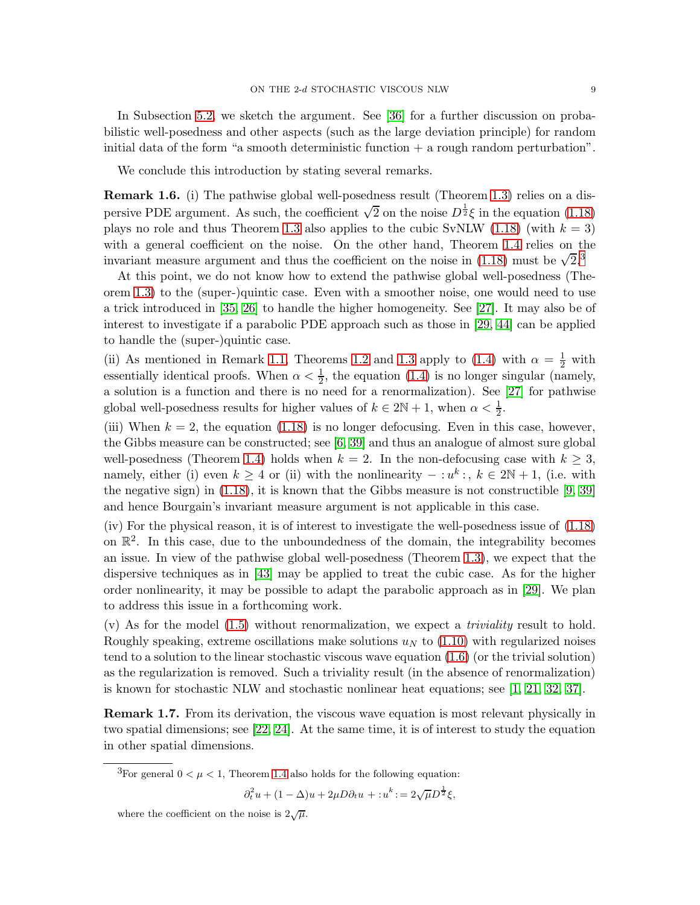In Subsection [5.2,](#page-20-0) we sketch the argument. See [\[36\]](#page-23-7) for a further discussion on probabilistic well-posedness and other aspects (such as the large deviation principle) for random initial data of the form "a smooth deterministic function  $+$  a rough random perturbation".

We conclude this introduction by stating several remarks.

Remark 1.6. (i) The pathwise global well-posedness result (Theorem [1.3\)](#page-5-0) relies on a dispersive PDE argument. As such, the coefficient  $\sqrt{2}$  on the noise  $D^{\frac{1}{2}}\xi$  in the equation [\(1.18\)](#page-4-3) plays no role and thus Theorem [1.3](#page-5-0) also applies to the cubic SvNLW [\(1.18\)](#page-4-3) (with  $k = 3$ ) with a general coefficient on the noise. On the other hand, Theorem [1.4](#page-6-0) relies on the invariant measure argument and thus the coefficient on the noise in [\(1.18\)](#page-4-3) must be  $\sqrt{2}$ .<sup>[3](#page-8-0)</sup>

At this point, we do not know how to extend the pathwise global well-posedness (Theorem [1.3\)](#page-5-0) to the (super-)quintic case. Even with a smoother noise, one would need to use a trick introduced in [\[35,](#page-23-8) [26\]](#page-23-9) to handle the higher homogeneity. See [\[27\]](#page-23-1). It may also be of interest to investigate if a parabolic PDE approach such as those in [\[29,](#page-23-3) [44\]](#page-23-10) can be applied to handle the (super-)quintic case.

(ii) As mentioned in Remark [1.1,](#page-2-5) Theorems [1.2](#page-4-1) and [1.3](#page-5-0) apply to [\(1.4\)](#page-1-2) with  $\alpha = \frac{1}{2}$  with essentially identical proofs. When  $\alpha < \frac{1}{2}$ , the equation [\(1.4\)](#page-1-2) is no longer singular (namely, a solution is a function and there is no need for a renormalization). See [\[27\]](#page-23-1) for pathwise global well-posedness results for higher values of  $k \in 2\mathbb{N} + 1$ , when  $\alpha < \frac{1}{2}$ .

(iii) When  $k = 2$ , the equation [\(1.18\)](#page-4-3) is no longer defocusing. Even in this case, however, the Gibbs measure can be constructed; see [\[6,](#page-22-10) [39\]](#page-23-11) and thus an analogue of almost sure global well-posedness (Theorem [1.4\)](#page-6-0) holds when  $k = 2$ . In the non-defocusing case with  $k \geq 3$ , namely, either (i) even  $k \geq 4$  or (ii) with the nonlinearity  $- : u^k :$ ,  $k \in 2\mathbb{N} + 1$ , (i.e. with the negative sign) in [\(1.18\)](#page-4-3), it is known that the Gibbs measure is not constructible [\[9,](#page-22-11) [39\]](#page-23-11) and hence Bourgain's invariant measure argument is not applicable in this case.

(iv) For the physical reason, it is of interest to investigate the well-posedness issue of [\(1.18\)](#page-4-3) on  $\mathbb{R}^2$ . In this case, due to the unboundedness of the domain, the integrability becomes an issue. In view of the pathwise global well-posedness (Theorem [1.3\)](#page-5-0), we expect that the dispersive techniques as in [\[43\]](#page-23-12) may be applied to treat the cubic case. As for the higher order nonlinearity, it may be possible to adapt the parabolic approach as in [\[29\]](#page-23-3). We plan to address this issue in a forthcoming work.

 $(v)$  As for the model  $(1.5)$  without renormalization, we expect a *triviality* result to hold. Roughly speaking, extreme oscillations make solutions  $u<sub>N</sub>$  to [\(1.10\)](#page-3-6) with regularized noises tend to a solution to the linear stochastic viscous wave equation [\(1.6\)](#page-2-6) (or the trivial solution) as the regularization is removed. Such a triviality result (in the absence of renormalization) is known for stochastic NLW and stochastic nonlinear heat equations; see [\[1,](#page-22-12) [21,](#page-22-13) [32,](#page-23-13) [37\]](#page-23-14).

Remark 1.7. From its derivation, the viscous wave equation is most relevant physically in two spatial dimensions; see [\[22,](#page-22-1) [24\]](#page-23-0). At the same time, it is of interest to study the equation in other spatial dimensions.

$$
\partial_t^2 u+(1-\Delta)u+2\mu D\partial_t u=:u^k\mathbin{\raisebox{.3pt}{:}\!=} 2\sqrt{\mu}D^{\frac{1}{2}}\xi,
$$

<span id="page-8-0"></span><sup>&</sup>lt;sup>3</sup>For general  $0 < \mu < 1$ , Theorem [1.4](#page-6-0) also holds for the following equation:

where the coefficient on the noise is  $2\sqrt{\mu}$ .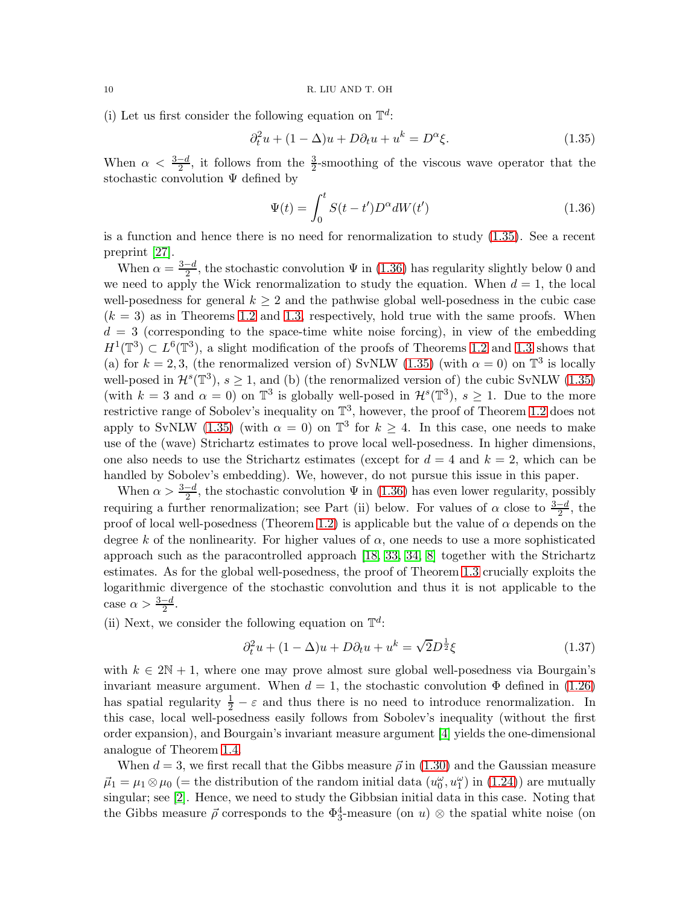(i) Let us first consider the following equation on  $\mathbb{T}^d$ :

$$
\partial_t^2 u + (1 - \Delta)u + D\partial_t u + u^k = D^\alpha \xi.
$$
\n(1.35)

When  $\alpha < \frac{3-d}{2}$ , it follows from the  $\frac{3}{2}$ -smoothing of the viscous wave operator that the stochastic convolution Ψ defined by

<span id="page-9-1"></span><span id="page-9-0"></span>
$$
\Psi(t) = \int_0^t S(t - t') D^\alpha dW(t')
$$
\n(1.36)

is a function and hence there is no need for renormalization to study [\(1.35\)](#page-9-0). See a recent preprint [\[27\]](#page-23-1).

When  $\alpha = \frac{3-d}{2}$  $\frac{-a}{2}$ , the stochastic convolution  $\Psi$  in [\(1.36\)](#page-9-1) has regularity slightly below 0 and we need to apply the Wick renormalization to study the equation. When  $d = 1$ , the local well-posedness for general  $k \geq 2$  and the pathwise global well-posedness in the cubic case  $(k = 3)$  as in Theorems [1.2](#page-4-1) and [1.3,](#page-5-0) respectively, hold true with the same proofs. When  $d = 3$  (corresponding to the space-time white noise forcing), in view of the embedding  $H^1(\mathbb{T}^3) \subset L^6(\mathbb{T}^3)$ , a slight modification of the proofs of Theorems [1.2](#page-4-1) and [1.3](#page-5-0) shows that (a) for  $k = 2, 3$ , (the renormalized version of) SvNLW [\(1.35\)](#page-9-0) (with  $\alpha = 0$ ) on  $\mathbb{T}^3$  is locally well-posed in  $\mathcal{H}^s(\mathbb{T}^3)$ ,  $s \geq 1$ , and (b) (the renormalized version of) the cubic SvNLW [\(1.35\)](#page-9-0) (with  $k = 3$  and  $\alpha = 0$ ) on  $\mathbb{T}^3$  is globally well-posed in  $\mathcal{H}^s(\mathbb{T}^3)$ ,  $s \ge 1$ . Due to the more restrictive range of Sobolev's inequality on  $\mathbb{T}^3$ , however, the proof of Theorem [1.2](#page-4-1) does not apply to SvNLW [\(1.35\)](#page-9-0) (with  $\alpha = 0$ ) on  $\mathbb{T}^3$  for  $k \geq 4$ . In this case, one needs to make use of the (wave) Strichartz estimates to prove local well-posedness. In higher dimensions, one also needs to use the Strichartz estimates (except for  $d = 4$  and  $k = 2$ , which can be handled by Sobolev's embedding). We, however, do not pursue this issue in this paper.

When  $\alpha > \frac{3-d}{2}$ , the stochastic convolution  $\Psi$  in [\(1.36\)](#page-9-1) has even lower regularity, possibly requiring a further renormalization; see Part (ii) below. For values of  $\alpha$  close to  $\frac{3-d}{2}$ , the proof of local well-posedness (Theorem [1.2\)](#page-4-1) is applicable but the value of  $\alpha$  depends on the degree k of the nonlinearity. For higher values of  $\alpha$ , one needs to use a more sophisticated approach such as the paracontrolled approach [\[18,](#page-22-14) [33,](#page-23-15) [34,](#page-23-16) [8\]](#page-22-15) together with the Strichartz estimates. As for the global well-posedness, the proof of Theorem [1.3](#page-5-0) crucially exploits the logarithmic divergence of the stochastic convolution and thus it is not applicable to the case  $\alpha > \frac{3-d}{2}$ .

(ii) Next, we consider the following equation on  $\mathbb{T}^d$ :

$$
\partial_t^2 u + (1 - \Delta)u + D\partial_t u + u^k = \sqrt{2}D^{\frac{1}{2}}\xi \tag{1.37}
$$

with  $k \in 2\mathbb{N} + 1$ , where one may prove almost sure global well-posedness via Bourgain's invariant measure argument. When  $d = 1$ , the stochastic convolution  $\Phi$  defined in [\(1.26\)](#page-6-2) has spatial regularity  $\frac{1}{2} - \varepsilon$  and thus there is no need to introduce renormalization. In this case, local well-posedness easily follows from Sobolev's inequality (without the first order expansion), and Bourgain's invariant measure argument [\[4\]](#page-22-8) yields the one-dimensional analogue of Theorem [1.4.](#page-6-0)

When  $d = 3$ , we first recall that the Gibbs measure  $\vec{\rho}$  in [\(1.30\)](#page-6-5) and the Gaussian measure  $\vec{\mu}_1 = \mu_1 \otimes \mu_0$  (= the distribution of the random initial data  $(u_0^{\omega}, u_1^{\omega})$  in [\(1.24\)](#page-5-3)) are mutually singular; see [\[2\]](#page-22-16). Hence, we need to study the Gibbsian initial data in this case. Noting that the Gibbs measure  $\vec{\rho}$  corresponds to the  $\Phi_3^4$ -measure (on  $u$ ) ⊗ the spatial white noise (on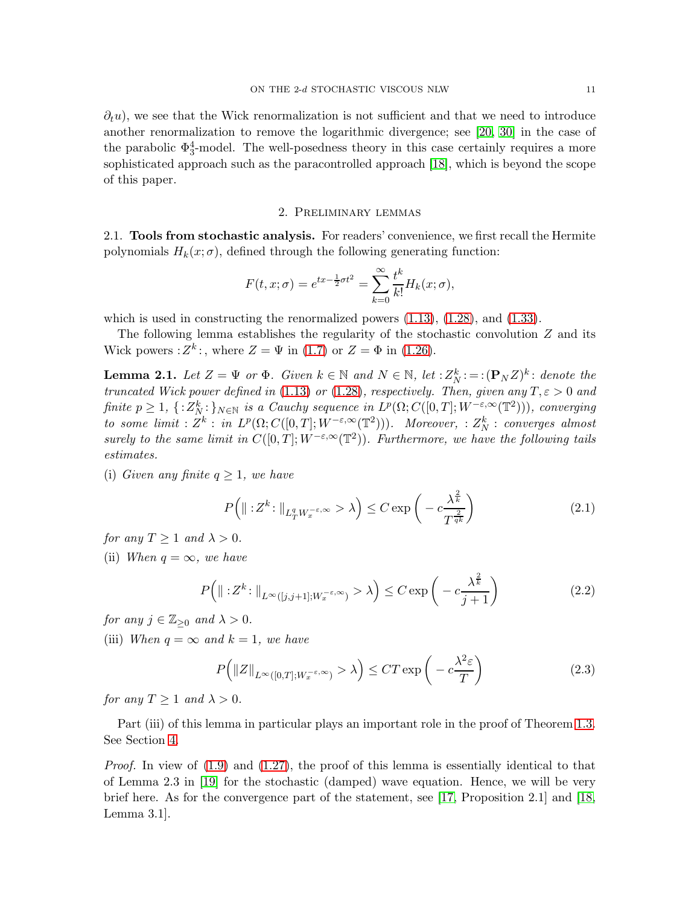$\partial_t u$ , we see that the Wick renormalization is not sufficient and that we need to introduce another renormalization to remove the logarithmic divergence; see [\[20,](#page-22-17) [30\]](#page-23-17) in the case of the parabolic  $\Phi_3^4$ -model. The well-posedness theory in this case certainly requires a more sophisticated approach such as the paracontrolled approach [\[18\]](#page-22-14), which is beyond the scope of this paper.

#### 2. Preliminary lemmas

<span id="page-10-1"></span><span id="page-10-0"></span>2.1. Tools from stochastic analysis. For readers' convenience, we first recall the Hermite polynomials  $H_k(x;\sigma)$ , defined through the following generating function:

$$
F(t, x; \sigma) = e^{tx - \frac{1}{2}\sigma t^2} = \sum_{k=0}^{\infty} \frac{t^k}{k!} H_k(x; \sigma),
$$

which is used in constructing the renormalized powers  $(1.13)$ ,  $(1.28)$ , and  $(1.33)$ .

The following lemma establishes the regularity of the stochastic convolution  $Z$  and its Wick powers :  $Z^k$ :, where  $Z = \Psi$  in [\(1.7\)](#page-2-4) or  $Z = \Phi$  in [\(1.26\)](#page-6-2).

<span id="page-10-2"></span>**Lemma 2.1.** Let  $Z = \Psi$  or  $\Phi$ . Given  $k \in \mathbb{N}$  and  $N \in \mathbb{N}$ , let  $: Z_N^k :=: (\mathbf{P}_N Z)^k :$  denote the truncated Wick power defined in [\(1.13\)](#page-3-5) or [\(1.28\)](#page-6-3), respectively. Then, given any  $T, \varepsilon > 0$  and finite  $p \ge 1$ ,  $\{ : Z_N^k : \}_{N \in \mathbb{N}}$  is a Cauchy sequence in  $L^p(\Omega; C([0, T]; W^{-\varepsilon, \infty}(\mathbb{T}^2))),$  converging to some limit :  $Z^k$  : in  $L^p(\Omega; C([0,T]; W^{-\varepsilon,\infty}(\mathbb{T}^2)))$ . Moreover, :  $Z_N^k$  : converges almost surely to the same limit in  $C([0,T]; W^{-\varepsilon,\infty}(\mathbb{T}^2))$ . Furthermore, we have the following tails estimates.

(i) Given any finite  $q \geq 1$ , we have

<span id="page-10-4"></span><span id="page-10-3"></span>
$$
P\left(\|z^{k}\right:\|_{L^{q}_{T}W_{x}^{-\epsilon,\infty}}>\lambda\right)\leq C\exp\left(-c\frac{\lambda^{\frac{2}{k}}}{T^{\frac{2}{qk}}}\right)
$$
\n(2.1)

for any  $T \geq 1$  and  $\lambda > 0$ .

(ii) When  $q = \infty$ , we have

$$
P\left(\|z^{k}\right\|_{L^{\infty}([j,j+1];W_{x}^{-\varepsilon,\infty})}>\lambda\right)\leq C\exp\left(-c\frac{\lambda^{\frac{2}{k}}}{j+1}\right)
$$
\n(2.2)

for any  $j \in \mathbb{Z}_{\geq 0}$  and  $\lambda > 0$ .

(iii) When  $q = \infty$  and  $k = 1$ , we have

<span id="page-10-5"></span>
$$
P\left(\|Z\|_{L^{\infty}([0,T];W_x^{-\varepsilon,\infty})} > \lambda\right) \le CT \exp\left(-c\frac{\lambda^2 \varepsilon}{T}\right) \tag{2.3}
$$

for any  $T \geq 1$  and  $\lambda > 0$ .

Part (iii) of this lemma in particular plays an important role in the proof of Theorem [1.3.](#page-5-0) See Section [4.](#page-15-0)

Proof. In view of  $(1.9)$  and  $(1.27)$ , the proof of this lemma is essentially identical to that of Lemma 2.3 in [\[19\]](#page-22-4) for the stochastic (damped) wave equation. Hence, we will be very brief here. As for the convergence part of the statement, see [\[17,](#page-22-3) Proposition 2.1] and [\[18,](#page-22-14) Lemma 3.1].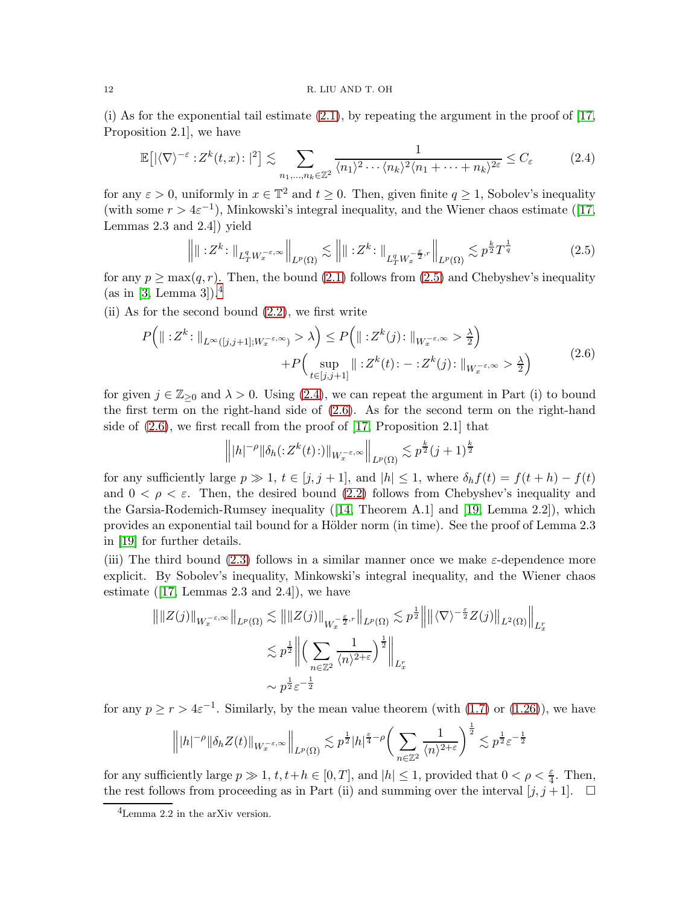#### 12 R. LIU AND T. OH

(i) As for the exponential tail estimate  $(2.1)$ , by repeating the argument in the proof of  $[17, 16]$ Proposition 2.1], we have

$$
\mathbb{E}\big[|\langle \nabla \rangle^{-\varepsilon} : Z^k(t, x) : |^2\big] \lesssim \sum_{n_1, \dots, n_k \in \mathbb{Z}^2} \frac{1}{\langle n_1 \rangle^2 \cdots \langle n_k \rangle^2 \langle n_1 + \dots + n_k \rangle^{2\varepsilon}} \le C_{\varepsilon}
$$
(2.4)

for any  $\varepsilon > 0$ , uniformly in  $x \in \mathbb{T}^2$  and  $t \geq 0$ . Then, given finite  $q \geq 1$ , Sobolev's inequality (withsome  $r > 4\varepsilon^{-1}$ ), Minkowski's integral inequality, and the Wiener chaos estimate ([\[17,](#page-22-3) Lemmas 2.3 and 2.4]) yield

<span id="page-11-2"></span><span id="page-11-0"></span>
$$
\left\| \|\cdot Z^k\colon \|_{L^q_T W_x^{-\varepsilon,\infty}} \right\|_{L^p(\Omega)} \lesssim \left\| \|\cdot Z^k\colon \|_{L^q_T W_x^{-\frac{\varepsilon}{2},r}} \right\|_{L^p(\Omega)} \lesssim p^{\frac{k}{2}} T^{\frac{1}{q}} \tag{2.5}
$$

for any  $p \ge \max(q, r)$ . Then, the bound [\(2.1\)](#page-10-3) follows from [\(2.5\)](#page-11-0) and Chebyshev's inequality  $(as in [3, Lemma 3])$  $(as in [3, Lemma 3])$  $(as in [3, Lemma 3])$ .<sup>[4](#page-11-1)</sup>

(ii) As for the second bound  $(2.2)$ , we first write

$$
P\left(\|\cdot Z^{k}\cdot\|_{L^{\infty}([j,j+1];W_{x}^{-\varepsilon,\infty})}>\lambda\right) \leq P\left(\|\cdot Z^{k}(j)\cdot\|_{W_{x}^{-\varepsilon,\infty}}>\frac{\lambda}{2}\right) + P\left(\sup_{t\in[j,j+1]} \|\cdot Z^{k}(t)\cdot - \cdot Z^{k}(j)\cdot\|_{W_{x}^{-\varepsilon,\infty}}>\frac{\lambda}{2}\right) \tag{2.6}
$$

for given  $j \in \mathbb{Z}_{\geq 0}$  and  $\lambda > 0$ . Using [\(2.4\)](#page-11-2), we can repeat the argument in Part (i) to bound the first term on the right-hand side of [\(2.6\)](#page-11-3). As for the second term on the right-hand side of [\(2.6\)](#page-11-3), we first recall from the proof of [\[17,](#page-22-3) Proposition 2.1] that

<span id="page-11-3"></span>
$$
\left\| |h|^{-\rho} \|\delta_h(z^{k}(t) \cdot)\|_{W_x^{-\varepsilon,\infty}} \right\|_{L^p(\Omega)} \lesssim p^{\frac{k}{2}} (j+1)^{\frac{k}{2}}
$$

for any sufficiently large  $p \gg 1$ ,  $t \in [j, j + 1]$ , and  $|h| \leq 1$ , where  $\delta_h f(t) = f(t + h) - f(t)$ and  $0 < \rho < \varepsilon$ . Then, the desired bound [\(2.2\)](#page-10-4) follows from Chebyshev's inequality and the Garsia-Rodemich-Rumsey inequality([\[14,](#page-22-19) Theorem A.1] and [\[19,](#page-22-4) Lemma 2.2]), which provides an exponential tail bound for a Hölder norm (in time). See the proof of Lemma 2.3 in [\[19\]](#page-22-4) for further details.

(iii) The third bound [\(2.3\)](#page-10-5) follows in a similar manner once we make  $\varepsilon$ -dependence more explicit. By Sobolev's inequality, Minkowski's integral inequality, and the Wiener chaos estimate $([17, \text{ Lemmas } 2.3 \text{ and } 2.4])$  $([17, \text{ Lemmas } 2.3 \text{ and } 2.4])$  $([17, \text{ Lemmas } 2.3 \text{ and } 2.4])$ , we have

$$
\| \|Z(j)\|_{W_x^{-\varepsilon,\infty}} \|_{L^p(\Omega)} \lesssim \| \|Z(j)\|_{W_x^{-\frac{\varepsilon}{2},r}} \|_{L^p(\Omega)} \lesssim p^{\frac{1}{2}} \left\| \|\langle \nabla \rangle^{-\frac{\varepsilon}{2}} Z(j)\|_{L^2(\Omega)} \right\|_{L^r_x}
$$
  

$$
\lesssim p^{\frac{1}{2}} \left\| \left( \sum_{n \in \mathbb{Z}^2} \frac{1}{\langle n \rangle^{2+\varepsilon}} \right)^{\frac{1}{2}} \right\|_{L^r_x}
$$
  

$$
\sim p^{\frac{1}{2}} \varepsilon^{-\frac{1}{2}}
$$

for any  $p \ge r > 4\varepsilon^{-1}$ . Similarly, by the mean value theorem (with [\(1.7\)](#page-2-4) or [\(1.26\)](#page-6-2)), we have

$$
\left\||h|^{-\rho}\|\delta_h Z(t)\|_{W_x^{-\varepsilon,\infty}}\right\|_{L^p(\Omega)} \lesssim p^{\frac{1}{2}}|h|^{\frac{\varepsilon}{4}-\rho}\bigg(\sum_{n\in\mathbb{Z}^2}\frac{1}{\langle n\rangle^{2+\varepsilon}}\bigg)^{\frac{1}{2}} \lesssim p^{\frac{1}{2}}\varepsilon^{-\frac{1}{2}}
$$

for any sufficiently large  $p \gg 1$ ,  $t, t+h \in [0, T]$ , and  $|h| \leq 1$ , provided that  $0 < \rho < \frac{\varepsilon}{4}$ . Then, the rest follows from proceeding as in Part (ii) and summing over the interval  $[j, j + 1]$ .  $\Box$ 

<span id="page-11-1"></span><sup>4</sup>Lemma 2.2 in the arXiv version.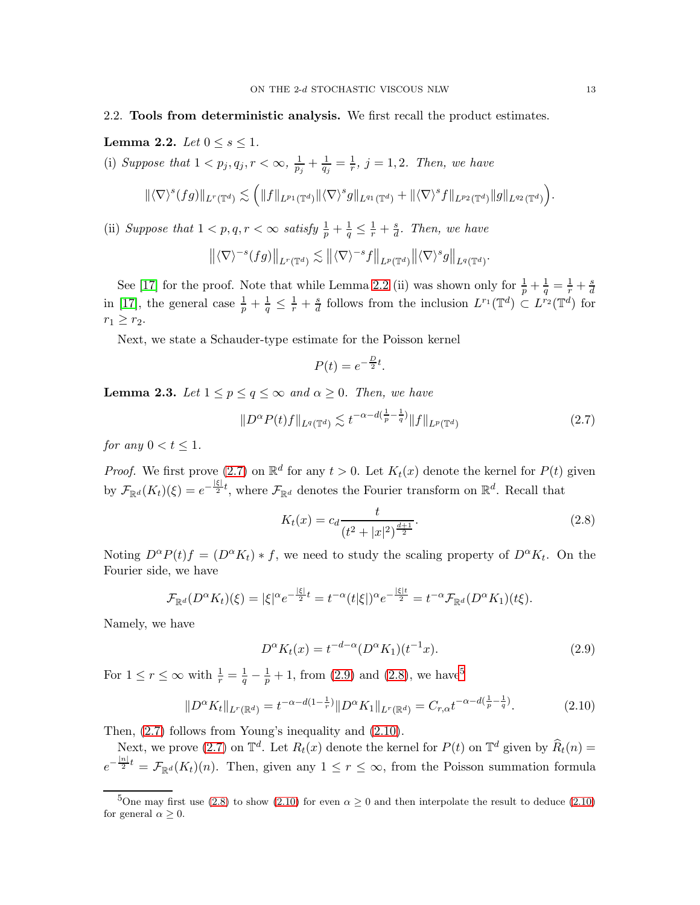## <span id="page-12-0"></span>2.2. Tools from deterministic analysis. We first recall the product estimates.

<span id="page-12-2"></span>Lemma 2.2. Let  $0 \leq s \leq 1$ .

(i) Suppose that  $1 < p_j, q_j, r < \infty, \frac{1}{p_j} + \frac{1}{q_j} = \frac{1}{r}, j = 1, 2$ . Then, we have

$$
\|\langle \nabla \rangle^s(fg)\|_{L^r(\mathbb{T}^d)}\lesssim \Big(\|f\|_{L^{p_1}(\mathbb{T}^d)}\|\langle \nabla \rangle^s g\|_{L^{q_1}(\mathbb{T}^d)}+\|\langle \nabla \rangle^s f\|_{L^{p_2}(\mathbb{T}^d)}\|g\|_{L^{q_2}(\mathbb{T}^d)}\Big).
$$

(ii) Suppose that  $1 < p, q, r < \infty$  satisfy  $\frac{1}{p} + \frac{1}{q} \leq \frac{1}{r} + \frac{s}{d}$ . Then, we have

$$
\left\| \langle \nabla \rangle^{-s} (fg) \right\|_{L^r(\mathbb{T}^d)} \lesssim \left\| \langle \nabla \rangle^{-s} f \right\|_{L^p(\mathbb{T}^d)} \left\| \langle \nabla \rangle^s g \right\|_{L^q(\mathbb{T}^d)}.
$$

See [\[17\]](#page-22-3) for the proof. Note that while Lemma [2.2](#page-12-2) (ii) was shown only for  $\frac{1}{p} + \frac{1}{q} = \frac{1}{r} + \frac{s}{d}$ bee [11] for the proof. Note that while Bellina 2.2 (ii) was shown only for  $\frac{1}{p} + \frac{1}{q} - \frac{1}{r} + \frac{1}{d}$ <br>in [\[17\]](#page-22-3), the general case  $\frac{1}{p} + \frac{1}{q} \leq \frac{1}{r} + \frac{s}{d}$  follows from the inclusion  $L^{r_1}(\mathbb{T}^d) \subset L^{r_2}$  $\frac{s}{d}$  follows from the inclusion  $L^{r_1}(\mathbb{T}^d) \subset L^{r_2}(\mathbb{T}^d)$  for  $r_1 \geq r_2$ .

Next, we state a Schauder-type estimate for the Poisson kernel

$$
P(t) = e^{-\frac{D}{2}t}.
$$

<span id="page-12-1"></span>**Lemma 2.3.** Let  $1 \leq p \leq q \leq \infty$  and  $\alpha \geq 0$ . Then, we have

<span id="page-12-3"></span>
$$
||D^{\alpha}P(t)f||_{L^{q}(\mathbb{T}^d)} \lesssim t^{-\alpha - d(\frac{1}{p} - \frac{1}{q})} ||f||_{L^{p}(\mathbb{T}^d)}
$$
\n(2.7)

for any  $0 < t \leq 1$ .

*Proof.* We first prove [\(2.7\)](#page-12-3) on  $\mathbb{R}^d$  for any  $t > 0$ . Let  $K_t(x)$  denote the kernel for  $P(t)$  given by  $\mathcal{F}_{\mathbb{R}^d}(K_t)(\xi) = e^{-\frac{|\xi|}{2}t}$ , where  $\mathcal{F}_{\mathbb{R}^d}$  denotes the Fourier transform on  $\mathbb{R}^d$ . Recall that

<span id="page-12-5"></span>
$$
K_t(x) = c_d \frac{t}{(t^2 + |x|^2)^{\frac{d+1}{2}}}.
$$
\n(2.8)

Noting  $D^{\alpha}P(t)f = (D^{\alpha}K_t) * f$ , we need to study the scaling property of  $D^{\alpha}K_t$ . On the Fourier side, we have

$$
\mathcal{F}_{\mathbb{R}^d}(D^{\alpha}K_t)(\xi) = |\xi|^{\alpha}e^{-\frac{|\xi|}{2}t} = t^{-\alpha}(t|\xi|)^{\alpha}e^{-\frac{|\xi|t}{2}} = t^{-\alpha}\mathcal{F}_{\mathbb{R}^d}(D^{\alpha}K_1)(t\xi).
$$

Namely, we have

<span id="page-12-7"></span><span id="page-12-4"></span>
$$
D^{\alpha}K_t(x) = t^{-d-\alpha}(D^{\alpha}K_1)(t^{-1}x). \tag{2.9}
$$

For  $1 \le r \le \infty$  with  $\frac{1}{r} = \frac{1}{q} - \frac{1}{p} + 1$ , from [\(2.9\)](#page-12-4) and [\(2.8\)](#page-12-5), we have<sup>[5](#page-12-6)</sup>

$$
||D^{\alpha}K_t||_{L^r(\mathbb{R}^d)} = t^{-\alpha - d(1 - \frac{1}{r})} ||D^{\alpha}K_1||_{L^r(\mathbb{R}^d)} = C_{r,\alpha} t^{-\alpha - d(\frac{1}{p} - \frac{1}{q})}.
$$
 (2.10)

Then, [\(2.7\)](#page-12-3) follows from Young's inequality and [\(2.10\)](#page-12-7).

Next, we prove [\(2.7\)](#page-12-3) on  $\mathbb{T}^d$ . Let  $R_t(x)$  denote the kernel for  $P(t)$  on  $\mathbb{T}^d$  given by  $\widehat{R}_t(n) =$  $e^{-\frac{|n|}{2}t} = \mathcal{F}_{\mathbb{R}^d}(K_t)(n)$ . Then, given any  $1 \leq r \leq \infty$ , from the Poisson summation formula

<span id="page-12-6"></span><sup>&</sup>lt;sup>5</sup>One may first use [\(2.8\)](#page-12-5) to show [\(2.10\)](#page-12-7) for even  $\alpha \ge 0$  and then interpolate the result to deduce (2.10) for general  $\alpha > 0$ .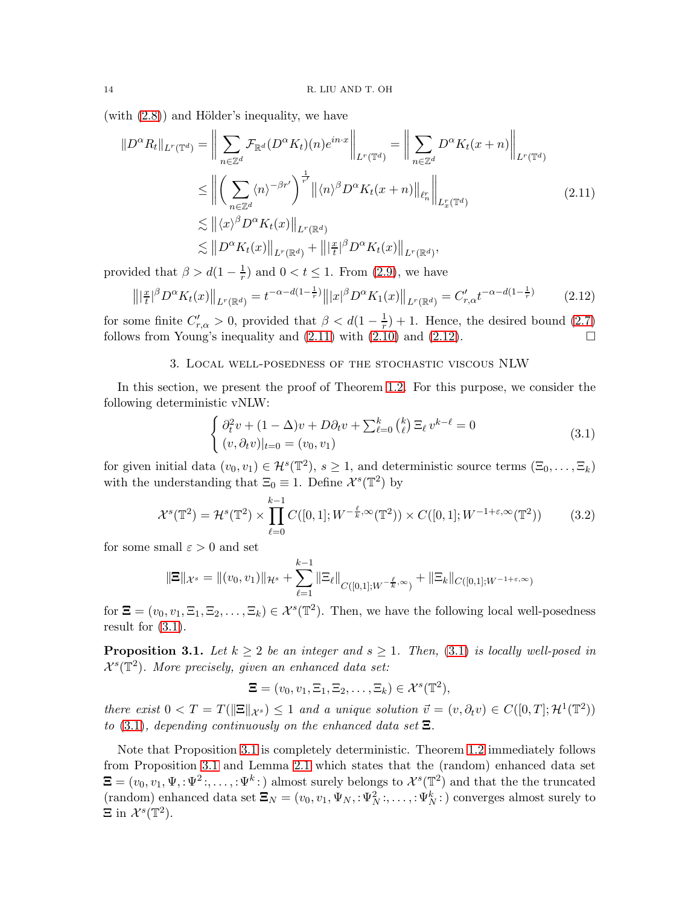(with  $(2.8)$ ) and Hölder's inequality, we have

$$
||D^{\alpha}R_t||_{L^r(\mathbb{T}^d)} = \left\| \sum_{n \in \mathbb{Z}^d} \mathcal{F}_{\mathbb{R}^d}(D^{\alpha}K_t)(n)e^{in \cdot x} \right\|_{L^r(\mathbb{T}^d)} = \left\| \sum_{n \in \mathbb{Z}^d} D^{\alpha}K_t(x+n) \right\|_{L^r(\mathbb{T}^d)}
$$
  
\n
$$
\leq \left\| \left( \sum_{n \in \mathbb{Z}^d} \langle n \rangle^{-\beta r'} \right)^{\frac{1}{r'}} \left\| \langle n \rangle^{\beta} D^{\alpha}K_t(x+n) \right\|_{\ell_n^r} \right\|_{L^r_x(\mathbb{T}^d)}
$$
  
\n
$$
\lesssim \left\| \langle x \rangle^{\beta} D^{\alpha}K_t(x) \right\|_{L^r(\mathbb{R}^d)}
$$
  
\n
$$
\lesssim \left\| D^{\alpha}K_t(x) \right\|_{L^r(\mathbb{R}^d)} + \left\| \left| \frac{x}{t} \right|^\beta D^{\alpha}K_t(x) \right\|_{L^r(\mathbb{R}^d)},
$$
\n(2.11)

provided that  $\beta > d(1 - \frac{1}{r})$  and  $0 < t \le 1$ . From [\(2.9\)](#page-12-4), we have

$$
\left\| |\frac{x}{t}|^{\beta} D^{\alpha} K_t(x) \right\|_{L^r(\mathbb{R}^d)} = t^{-\alpha - d(1 - \frac{1}{r})} \left\| |x|^{\beta} D^{\alpha} K_1(x) \right\|_{L^r(\mathbb{R}^d)} = C'_{r,\alpha} t^{-\alpha - d(1 - \frac{1}{r})}
$$
(2.12)

<span id="page-13-0"></span>for some finite  $C'_{r,\alpha} > 0$ , provided that  $\beta < d(1 - \frac{1}{r}) + 1$ . Hence, the desired bound [\(2.7\)](#page-12-3) follows from Young's inequality and  $(2.11)$  with  $(2.10)$  and  $(2.12)$ .

#### 3. Local well-posedness of the stochastic viscous NLW

In this section, we present the proof of Theorem [1.2.](#page-4-1) For this purpose, we consider the following deterministic vNLW:

<span id="page-13-4"></span><span id="page-13-3"></span><span id="page-13-2"></span>
$$
\begin{cases}\n\partial_t^2 v + (1 - \Delta)v + D\partial_t v + \sum_{\ell=0}^k {k \choose \ell} \Xi_\ell v^{k-\ell} = 0 \\
(v, \partial_t v)|_{t=0} = (v_0, v_1)\n\end{cases}
$$
\n(3.1)

for given initial data  $(v_0, v_1) \in \mathcal{H}^s(\mathbb{T}^2)$ ,  $s \ge 1$ , and deterministic source terms  $(\Xi_0, \ldots, \Xi_k)$ with the understanding that  $\Xi_0 \equiv 1$ . Define  $\mathcal{X}^s(\mathbb{T}^2)$  by

$$
\mathcal{X}^s(\mathbb{T}^2) = \mathcal{H}^s(\mathbb{T}^2) \times \prod_{\ell=0}^{k-1} C([0,1]; W^{-\frac{\ell}{k},\infty}(\mathbb{T}^2)) \times C([0,1]; W^{-1+\varepsilon,\infty}(\mathbb{T}^2)) \tag{3.2}
$$

for some small  $\varepsilon > 0$  and set

$$
\|\Xi\|_{\mathcal{X}^s} = \|(v_0, v_1)\|_{\mathcal{H}^s} + \sum_{\ell=1}^{k-1} \|\Xi_{\ell}\|_{C([0,1];W^{-\frac{\ell}{k},\infty})} + \|\Xi_k\|_{C([0,1];W^{-1+\epsilon,\infty})}
$$

for  $\mathbf{\Xi} = (v_0, v_1, \Xi_1, \Xi_2, \dots, \Xi_k) \in \mathcal{X}^s(\mathbb{T}^2)$ . Then, we have the following local well-posedness result for  $(3.1)$ .

<span id="page-13-1"></span>**Proposition 3.1.** Let  $k \geq 2$  be an integer and  $s \geq 1$ . Then, [\(3.1\)](#page-13-4) is locally well-posed in  $\mathcal{X}^s(\mathbb{T}^2)$ . More precisely, given an enhanced data set:

<span id="page-13-5"></span>
$$
\Xi=(v_0,v_1,\Xi_1,\Xi_2,\ldots,\Xi_k)\in\mathcal{X}^s(\mathbb{T}^2),
$$

there exist  $0 < T = T(||\Xi||_{\mathcal{X}^s}) \leq 1$  and a unique solution  $\vec{v} = (v, \partial_t v) \in C([0, T]; \mathcal{H}^1(\mathbb{T}^2))$ to [\(3.1\)](#page-13-4), depending continuously on the enhanced data set  $\Xi$ 

Note that Proposition [3.1](#page-13-1) is completely deterministic. Theorem [1.2](#page-4-1) immediately follows from Proposition [3.1](#page-13-1) and Lemma [2.1](#page-10-2) which states that the (random) enhanced data set  $\Xi = (v_0, v_1, \Psi, : \Psi^2:, \dots, : \Psi^k: )$  almost surely belongs to  $\mathcal{X}^s(\mathbb{T}^2)$  and that the the truncated (random) enhanced data set  $\Xi_N = (v_0, v_1, \Psi_N, : \Psi_N^2; \dots, : \Psi_N^k; )$  converges almost surely to  $\Xi$  in  $\mathcal{X}^s(\mathbb{T}^2)$ .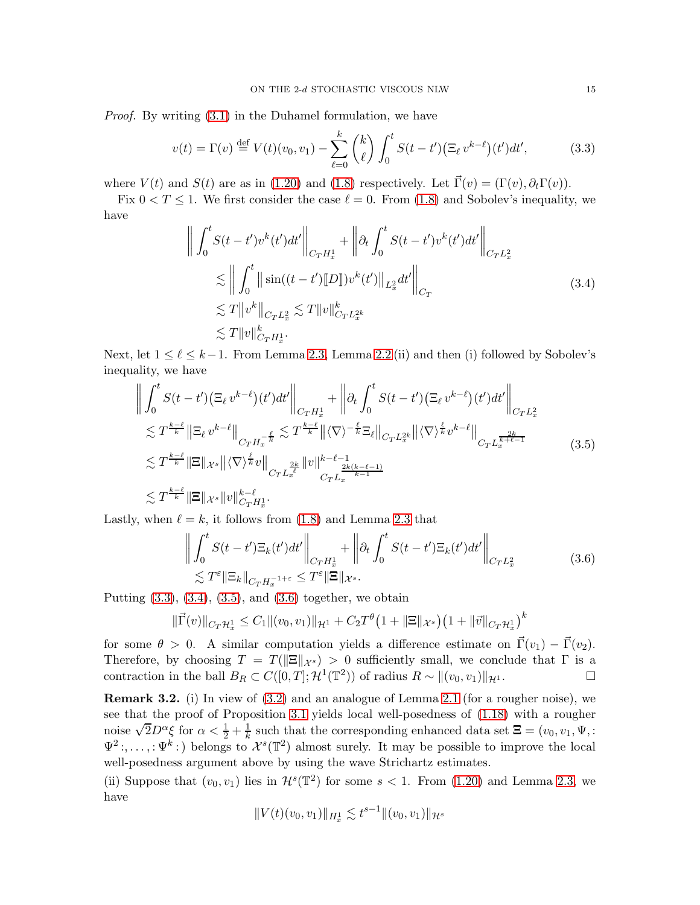Proof. By writing [\(3.1\)](#page-13-4) in the Duhamel formulation, we have

<span id="page-14-1"></span>
$$
v(t) = \Gamma(v) \stackrel{\text{def}}{=} V(t)(v_0, v_1) - \sum_{\ell=0}^k {k \choose \ell} \int_0^t S(t - t') \big(\Xi_\ell v^{k-\ell}\big)(t')dt',\tag{3.3}
$$

where  $V(t)$  and  $S(t)$  are as in [\(1.20\)](#page-4-6) and [\(1.8\)](#page-2-7) respectively. Let  $\vec{\Gamma}(v) = (\Gamma(v), \partial_t \Gamma(v))$ .

Fix  $0 < T \le 1$ . We first consider the case  $\ell = 0$ . From [\(1.8\)](#page-2-7) and Sobolev's inequality, we have

<span id="page-14-2"></span>
$$
\left\| \int_{0}^{t} S(t - t')v^{k}(t')dt' \right\|_{C_{T}H_{x}^{1}} + \left\| \partial_{t} \int_{0}^{t} S(t - t')v^{k}(t')dt' \right\|_{C_{T}L_{x}^{2}}
$$
  
\n
$$
\lesssim \left\| \int_{0}^{t} \|\sin((t - t')\|D\|)v^{k}(t')\|_{L_{x}^{2}}dt' \right\|_{C_{T}}
$$
  
\n
$$
\lesssim T\|v^{k}\|_{C_{T}L_{x}^{2}} \lesssim T\|v\|_{C_{T}H_{x}^{2k}}^{k}
$$
  
\n
$$
\lesssim T\|v\|_{C_{T}H_{x}^{1}}^{k}.
$$
\n(3.4)

Next, let  $1 \leq \ell \leq k-1$ . From Lemma [2.3,](#page-12-1) Lemma [2.2](#page-12-2) (ii) and then (i) followed by Sobolev's inequality, we have

$$
\left\| \int_{0}^{t} S(t - t') \left( \Xi_{\ell} v^{k - \ell} \right) (t') dt' \right\|_{C_{T} H_{x}^{1}} + \left\| \partial_{t} \int_{0}^{t} S(t - t') \left( \Xi_{\ell} v^{k - \ell} \right) (t') dt' \right\|_{C_{T} L_{x}^{2}}
$$
  
\n
$$
\lesssim T^{\frac{k - \ell}{k}} \left\| \Xi_{\ell} v^{k - \ell} \right\|_{C_{T} H_{x}^{-\frac{\ell}{k}}} \lesssim T^{\frac{k - \ell}{k}} \left\| \langle \nabla \rangle^{-\frac{\ell}{k}} \Xi_{\ell} \right\|_{C_{T} L_{x}^{2k}} \left\| \langle \nabla \rangle^{\frac{\ell}{k}} v^{k - \ell} \right\|_{C_{T} L_{x}^{\frac{2k}{k + \ell - 1}}} \lesssim T^{\frac{k - \ell}{k}} \left\| \Xi \right\|_{\mathcal{X}^{s}} \left\| \langle \nabla \rangle^{\frac{\ell}{k}} v \right\|_{C_{T} L_{x}^{\frac{2k}{\ell}} \left\| v \right\|^{k - \ell - 1}} \lesssim T^{\frac{k - \ell}{k}} \left\| \Xi \right\|_{\mathcal{X}^{s}} \left\| v \right\|_{C_{T} H_{x}^{1}}^{k - \ell}.
$$
\n
$$
\lesssim T^{\frac{k - \ell}{k}} \left\| \Xi \right\|_{\mathcal{X}^{s}} \left\| v \right\|_{C_{T} H_{x}^{1}}^{k - \ell}.
$$
\n(3.5)

<span id="page-14-4"></span>Lastly, when  $\ell = k$ , it follows from [\(1.8\)](#page-2-7) and Lemma [2.3](#page-12-1) that

<span id="page-14-3"></span>
$$
\left\| \int_0^t S(t - t') \Xi_k(t') dt' \right\|_{C_T H_x^1} + \left\| \partial_t \int_0^t S(t - t') \Xi_k(t') dt' \right\|_{C_T L_x^2}
$$
\n
$$
\lesssim T^{\epsilon} \|\Xi_k\|_{C_T H_x^{-1+\epsilon}} \le T^{\epsilon} \|\Xi\|_{\mathcal{X}^s}.
$$
\n(3.6)

Putting  $(3.3)$ ,  $(3.4)$ ,  $(3.5)$ , and  $(3.6)$  together, we obtain

$$
\|\vec{\Gamma}(v)\|_{C_T\mathcal{H}_x^1} \leq C_1 \|(v_0, v_1)\|_{\mathcal{H}^1} + C_2 T^{\theta} (1 + \|\Xi\|_{\mathcal{X}^s}) (1 + \|\vec{v}\|_{C_T\mathcal{H}_x^1})^k
$$

for some  $\theta > 0$ . A similar computation yields a difference estimate on  $\vec{\Gamma}(v_1) - \vec{\Gamma}(v_2)$ . Therefore, by choosing  $T = T(||\mathbf{\Xi}||_{\mathcal{X}^s}) > 0$  sufficiently small, we conclude that  $\Gamma$  is a contraction in the ball  $B_R \subset C([0, T]; \mathcal{H}^1(\mathbb{T}^2))$  of radius  $R \sim ||(v_0, v_1)||_{2}$ . contraction in the ball  $B_R \subset C([0,T]; \mathcal{H}^1(\mathbb{T}^2))$  of radius  $R \sim ||(v_0, v_1)||_{\mathcal{H}^1}$ .

<span id="page-14-0"></span>Remark 3.2. (i) In view of [\(3.2\)](#page-13-5) and an analogue of Lemma [2.1](#page-10-2) (for a rougher noise), we see that the proof of Proposition [3.1](#page-13-1) yields local well-posedness of [\(1.18\)](#page-4-3) with a rougher noise  $\sqrt{2}D^{\alpha}\xi$  for  $\alpha < \frac{1}{2} + \frac{1}{k}$  such that the corresponding enhanced data set  $\Xi = (v_0, v_1, \Psi, \Xi)$  $\Psi^2$ :,...,: $\Psi^k$ :) belongs to  $\mathcal{X}^s(\mathbb{T}^2)$  almost surely. It may be possible to improve the local well-posedness argument above by using the wave Strichartz estimates.

(ii) Suppose that  $(v_0, v_1)$  lies in  $\mathcal{H}^s(\mathbb{T}^2)$  for some  $s < 1$ . From [\(1.20\)](#page-4-6) and Lemma [2.3,](#page-12-1) we have

$$
||V(t)(v_0, v_1)||_{H_x^1} \lesssim t^{s-1} ||(v_0, v_1)||_{\mathcal{H}^s}
$$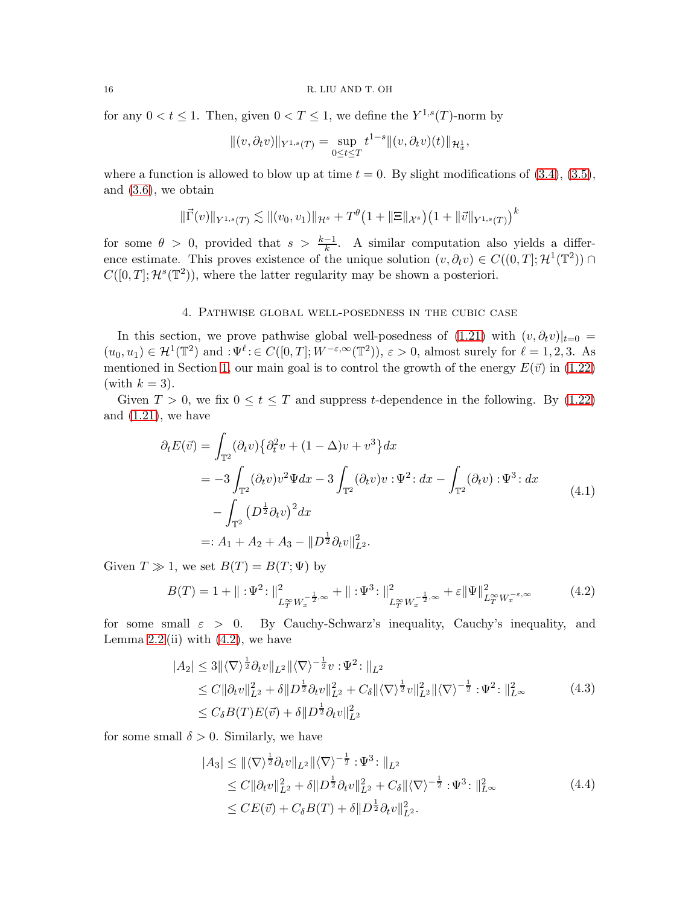for any  $0 < t \le 1$ . Then, given  $0 < T \le 1$ , we define the  $Y^{1,s}(T)$ -norm by

$$
||(v, \partial_t v)||_{Y^{1,s}(T)} = \sup_{0 \le t \le T} t^{1-s} ||(v, \partial_t v)(t)||_{\mathcal{H}^1_x},
$$

where a function is allowed to blow up at time  $t = 0$ . By slight modifications of  $(3.4)$ ,  $(3.5)$ , and [\(3.6\)](#page-14-4), we obtain

$$
\|\vec{\Gamma}(v)\|_{Y^{1,s}(T)} \lesssim \| (v_0, v_1)\|_{\mathcal{H}^s} + T^{\theta} \big( 1 + \|\Xi\|_{\mathcal{X}^s} \big) \big( 1 + \|\vec{v}\|_{Y^{1,s}(T)} \big)^k
$$

for some  $\theta > 0$ , provided that  $s > \frac{k-1}{k}$ . A similar computation also yields a difference estimate. This proves existence of the unique solution  $(v, \partial_t v) \in C((0,T]; \mathcal{H}^1(\mathbb{T}^2))$  $C([0,T];\mathcal{H}^s(\mathbb{T}^2))$ , where the latter regularity may be shown a posteriori.

### 4. Pathwise global well-posedness in the cubic case

<span id="page-15-0"></span>In this section, we prove pathwise global well-posedness of  $(1.21)$  with  $(v, \partial_t v)|_{t=0}$  $(u_0, u_1) \in \mathcal{H}^1(\mathbb{T}^2)$  and  $:\Psi^{\ell} \in C([0, T]; W^{-\varepsilon, \infty}(\mathbb{T}^2)), \varepsilon > 0$ , almost surely for  $\ell = 1, 2, 3$ . As mentioned in Section [1,](#page-0-0) our main goal is to control the growth of the energy  $E(\vec{v})$  in [\(1.22\)](#page-5-5) (with  $k = 3$ ).

Given  $T > 0$ , we fix  $0 \le t \le T$  and suppress t-dependence in the following. By [\(1.22\)](#page-5-5) and  $(1.21)$ , we have

<span id="page-15-2"></span>
$$
\partial_t E(\vec{v}) = \int_{\mathbb{T}^2} (\partial_t v) \{ \partial_t^2 v + (1 - \Delta)v + v^3 \} dx
$$
  
= -3 \int\_{\mathbb{T}^2} (\partial\_t v) v^2 \Psi dx - 3 \int\_{\mathbb{T}^2} (\partial\_t v) v : \Psi^2 : dx - \int\_{\mathbb{T}^2} (\partial\_t v) : \Psi^3 : dx  
- \int\_{\mathbb{T}^2} (D^{\frac{1}{2}} \partial\_t v)^2 dx  
=: A\_1 + A\_2 + A\_3 - ||D^{\frac{1}{2}} \partial\_t v||\_{L^2}^2. \tag{4.1}

Given  $T \gg 1$ , we set  $B(T) = B(T; \Psi)$  by

<span id="page-15-1"></span>
$$
B(T) = 1 + \| : \Psi^2 : \|_{L_T^{\infty} W_x^{-\frac{1}{2}, \infty}}^2 + \| : \Psi^3 : \|_{L_T^{\infty} W_x^{-\frac{1}{2}, \infty}}^2 + \varepsilon \| \Psi \|_{L_T^{\infty} W_x^{-\varepsilon, \infty}}^2 \tag{4.2}
$$

for some small  $\varepsilon > 0$ . By Cauchy-Schwarz's inequality, Cauchy's inequality, and Lemma  $2.2$  (ii) with  $(4.2)$ , we have

$$
|A_2| \le 3 \|\langle \nabla \rangle^{\frac{1}{2}} \partial_t v\|_{L^2} \|\langle \nabla \rangle^{-\frac{1}{2}} v : \Psi^2 : \|_{L^2}
$$
  
\n
$$
\le C \|\partial_t v\|_{L^2}^2 + \delta \|D^{\frac{1}{2}} \partial_t v\|_{L^2}^2 + C_{\delta} \|\langle \nabla \rangle^{\frac{1}{2}} v\|_{L^2}^2 \|\langle \nabla \rangle^{-\frac{1}{2}} : \Psi^2 : \|_{L^\infty}^2
$$
  
\n
$$
\le C_{\delta} B(T) E(\vec{v}) + \delta \|D^{\frac{1}{2}} \partial_t v\|_{L^2}^2
$$
\n(4.3)

for some small  $\delta > 0$ . Similarly, we have

<span id="page-15-4"></span><span id="page-15-3"></span>
$$
|A_3| \leq ||\langle \nabla \rangle^{\frac{1}{2}} \partial_t v||_{L^2} ||\langle \nabla \rangle^{-\frac{1}{2}} : \Psi^3 : ||_{L^2}
$$
  
\n
$$
\leq C ||\partial_t v||_{L^2}^2 + \delta ||D^{\frac{1}{2}} \partial_t v||_{L^2}^2 + C_\delta ||\langle \nabla \rangle^{-\frac{1}{2}} : \Psi^3 : ||_{L^\infty}^2
$$
  
\n
$$
\leq CE(\vec{v}) + C_\delta B(T) + \delta ||D^{\frac{1}{2}} \partial_t v||_{L^2}^2.
$$
\n(4.4)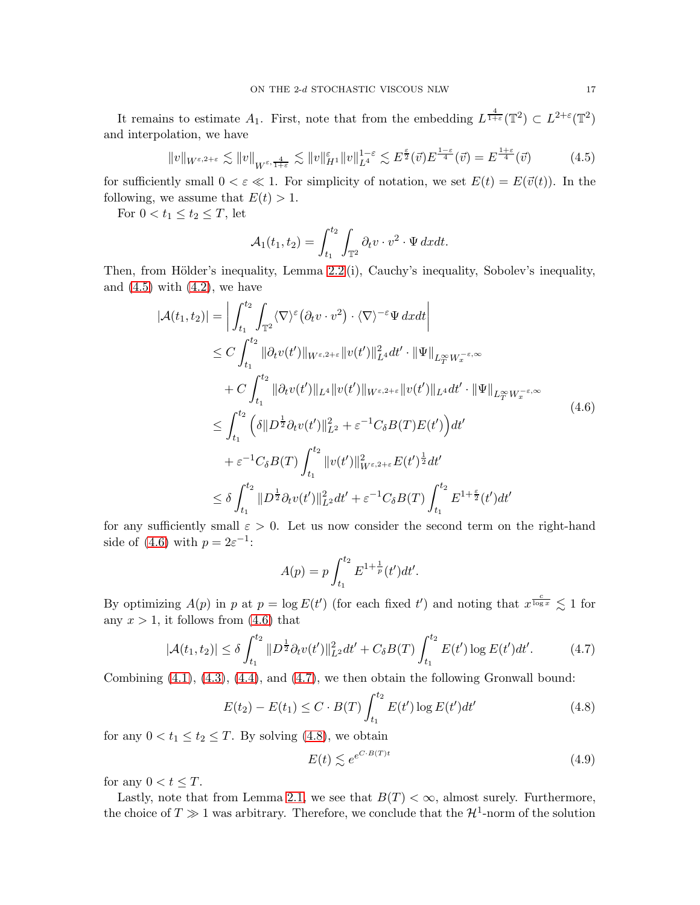It remains to estimate  $A_1$ . First, note that from the embedding  $L^{\frac{4}{1+\varepsilon}}(\mathbb{T}^2) \subset L^{2+\varepsilon}(\mathbb{T}^2)$ and interpolation, we have

<span id="page-16-0"></span>
$$
||v||_{W^{\varepsilon,2+\varepsilon}} \lesssim ||v||_{W^{\varepsilon,\frac{4}{1+\varepsilon}}} \lesssim ||v||_{H^1}^{\varepsilon} ||v||_{L^4}^{1-\varepsilon} \lesssim E^{\frac{\varepsilon}{2}}(\vec{v}) E^{\frac{1-\varepsilon}{4}}(\vec{v}) = E^{\frac{1+\varepsilon}{4}}(\vec{v}) \tag{4.5}
$$

for sufficiently small  $0 < \varepsilon \ll 1$ . For simplicity of notation, we set  $E(t) = E(\vec{v}(t))$ . In the following, we assume that  $E(t) > 1$ .

For  $0 < t_1 \leq t_2 \leq T$ , let

$$
\mathcal{A}_1(t_1, t_2) = \int_{t_1}^{t_2} \int_{\mathbb{T}^2} \partial_t v \cdot v^2 \cdot \Psi \, dxdt.
$$

Then, from Hölder's inequality, Lemma  $2.2$  (i), Cauchy's inequality, Sobolev's inequality, and  $(4.5)$  with  $(4.2)$ , we have

$$
|\mathcal{A}(t_1, t_2)| = \left| \int_{t_1}^{t_2} \int_{\mathbb{T}^2} \langle \nabla \rangle^{\varepsilon} (\partial_t v \cdot v^2) \cdot \langle \nabla \rangle^{-\varepsilon} \Psi \, dx dt \right|
$$
  
\n
$$
\leq C \int_{t_1}^{t_2} ||\partial_t v(t')||_{W^{\varepsilon, 2+\varepsilon}} ||v(t')||_{L^4}^2 dt' \cdot ||\Psi||_{L^{\infty}_{T} W^{-\varepsilon, \infty}_{x}} + C \int_{t_1}^{t_2} ||\partial_t v(t')||_{L^4} ||v(t')||_{W^{\varepsilon, 2+\varepsilon}} ||v(t')||_{L^4} dt' \cdot ||\Psi||_{L^{\infty}_{T} W^{-\varepsilon, \infty}_{x}} \n\leq \int_{t_1}^{t_2} \left( \delta ||D^{\frac{1}{2}} \partial_t v(t')||_{L^2}^2 + \varepsilon^{-1} C_{\delta} B(T) E(t') \right) dt' \n+ \varepsilon^{-1} C_{\delta} B(T) \int_{t_1}^{t_2} ||v(t')||_{W^{\varepsilon, 2+\varepsilon}}^2 E(t')^{\frac{1}{2}} dt' \n\leq \delta \int_{t_1}^{t_2} ||D^{\frac{1}{2}} \partial_t v(t')||_{L^2}^2 dt' + \varepsilon^{-1} C_{\delta} B(T) \int_{t_1}^{t_2} E^{1+\frac{\varepsilon}{2}}(t') dt'
$$

for any sufficiently small  $\varepsilon > 0$ . Let us now consider the second term on the right-hand side of [\(4.6\)](#page-16-1) with  $p = 2\varepsilon^{-1}$ :

<span id="page-16-1"></span>
$$
A(p) = p \int_{t_1}^{t_2} E^{1 + \frac{1}{p}}(t') dt'.
$$

By optimizing  $A(p)$  in p at  $p = \log E(t')$  (for each fixed t') and noting that  $x^{\frac{c}{\log x}} \lesssim 1$  for any  $x > 1$ , it follows from  $(4.6)$  that

$$
|\mathcal{A}(t_1, t_2)| \le \delta \int_{t_1}^{t_2} \|D^{\frac{1}{2}} \partial_t v(t')\|_{L^2}^2 dt' + C_\delta B(T) \int_{t_1}^{t_2} E(t') \log E(t') dt'. \tag{4.7}
$$

Combining [\(4.1\)](#page-15-2), [\(4.3\)](#page-15-3), [\(4.4\)](#page-15-4), and [\(4.7\)](#page-16-2), we then obtain the following Gronwall bound:

$$
E(t_2) - E(t_1) \le C \cdot B(T) \int_{t_1}^{t_2} E(t') \log E(t') dt' \tag{4.8}
$$

for any  $0 < t_1 \le t_2 \le T$ . By solving [\(4.8\)](#page-16-3), we obtain

<span id="page-16-4"></span><span id="page-16-3"></span><span id="page-16-2"></span>
$$
E(t) \lesssim e^{e^{C \cdot B(T)t}} \tag{4.9}
$$

for any  $0 < t \leq T$ .

Lastly, note that from Lemma [2.1,](#page-10-2) we see that  $B(T) < \infty$ , almost surely. Furthermore, the choice of  $T \gg 1$  was arbitrary. Therefore, we conclude that the  $\mathcal{H}^1$ -norm of the solution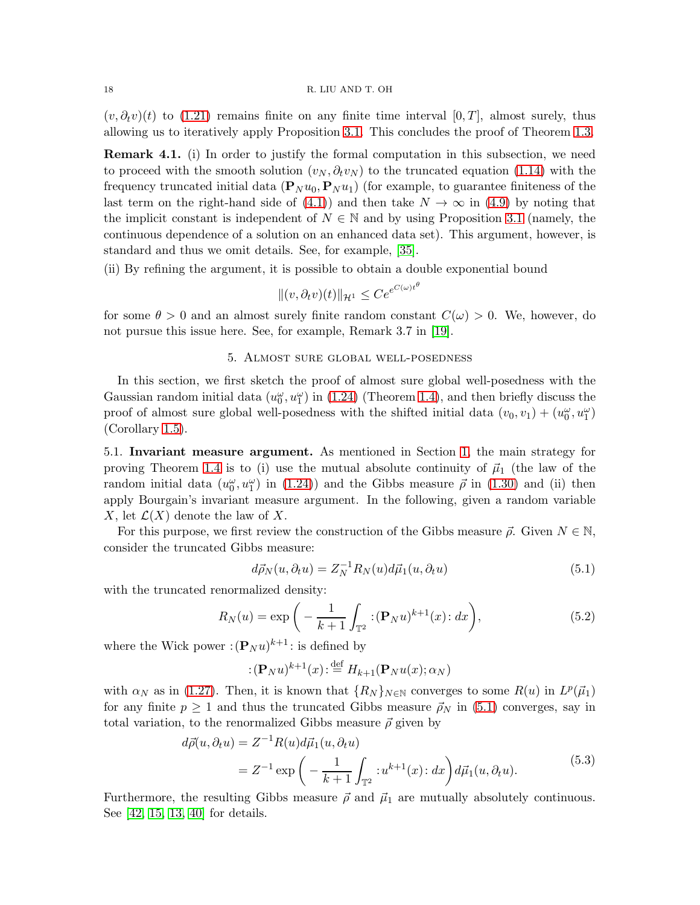$(v, \partial_t v)(t)$  to [\(1.21\)](#page-5-1) remains finite on any finite time interval [0, T], almost surely, thus allowing us to iteratively apply Proposition [3.1.](#page-13-1) This concludes the proof of Theorem [1.3.](#page-5-0)

Remark 4.1. (i) In order to justify the formal computation in this subsection, we need to proceed with the smooth solution  $(v_N, \partial_t v_N)$  to the truncated equation [\(1.14\)](#page-3-2) with the frequency truncated initial data  $(P_N u_0, P_N u_1)$  (for example, to guarantee finiteness of the last term on the right-hand side of [\(4.1\)](#page-15-2)) and then take  $N \to \infty$  in [\(4.9\)](#page-16-4) by noting that the implicit constant is independent of  $N \in \mathbb{N}$  and by using Proposition [3.1](#page-13-1) (namely, the continuous dependence of a solution on an enhanced data set). This argument, however, is standard and thus we omit details. See, for example, [\[35\]](#page-23-8).

(ii) By refining the argument, it is possible to obtain a double exponential bound

$$
||(v, \partial_t v)(t)||_{\mathcal{H}^1} \le Ce^{e^{C(\omega)t^{\theta}}}
$$

<span id="page-17-0"></span>for some  $\theta > 0$  and an almost surely finite random constant  $C(\omega) > 0$ . We, however, do not pursue this issue here. See, for example, Remark 3.7 in [\[19\]](#page-22-4).

### 5. Almost sure global well-posedness

In this section, we first sketch the proof of almost sure global well-posedness with the Gaussian random initial data  $(u_0^{\omega}, u_1^{\omega})$  in [\(1.24\)](#page-5-3) (Theorem [1.4\)](#page-6-0), and then briefly discuss the proof of almost sure global well-posedness with the shifted initial data  $(v_0, v_1) + (u_0^{\omega}, u_1^{\omega})$ (Corollary [1.5\)](#page-7-2).

<span id="page-17-1"></span>5.1. Invariant measure argument. As mentioned in Section [1,](#page-0-0) the main strategy for proving Theorem [1.4](#page-6-0) is to (i) use the mutual absolute continuity of  $\vec{\mu}_1$  (the law of the random initial data  $(u_0^{\omega}, u_1^{\omega})$  in [\(1.24\)](#page-5-3)) and the Gibbs measure  $\vec{\rho}$  in [\(1.30\)](#page-6-5) and (ii) then apply Bourgain's invariant measure argument. In the following, given a random variable X, let  $\mathcal{L}(X)$  denote the law of X.

For this purpose, we first review the construction of the Gibbs measure  $\vec{\rho}$ . Given  $N \in \mathbb{N}$ , consider the truncated Gibbs measure:

<span id="page-17-4"></span><span id="page-17-2"></span>
$$
d\vec{\rho}_N(u, \partial_t u) = Z_N^{-1} R_N(u) d\vec{\mu}_1(u, \partial_t u)
$$
\n(5.1)

with the truncated renormalized density:

$$
R_N(u) = \exp\bigg(-\frac{1}{k+1} \int_{\mathbb{T}^2} :(\mathbf{P}_N u)^{k+1}(x) : dx\bigg),\tag{5.2}
$$

where the Wick power  $:({\bf P}_N u)^{k+1}$ : is defined by

<span id="page-17-3"></span>
$$
:(\mathbf{P}_N u)^{k+1}(x):\stackrel{\text{def}}{=} H_{k+1}(\mathbf{P}_N u(x); \alpha_N)
$$

with  $\alpha_N$  as in [\(1.27\)](#page-6-4). Then, it is known that  $\{R_N\}_{N\in\mathbb{N}}$  converges to some  $R(u)$  in  $L^p(\vec{\mu}_1)$ for any finite  $p \ge 1$  and thus the truncated Gibbs measure  $\vec{\rho}_N$  in [\(5.1\)](#page-17-2) converges, say in total variation, to the renormalized Gibbs measure  $\vec{\rho}$  given by

$$
d\vec{\rho}(u,\partial_t u) = Z^{-1}R(u)d\vec{\mu}_1(u,\partial_t u)
$$
  
=  $Z^{-1}\exp\left(-\frac{1}{k+1}\int_{\mathbb{T}^2} :u^{k+1}(x):dx\right)d\vec{\mu}_1(u,\partial_t u).$  (5.3)

Furthermore, the resulting Gibbs measure  $\vec{\rho}$  and  $\vec{\mu}_1$  are mutually absolutely continuous. See [\[42,](#page-23-18) [15,](#page-22-20) [13,](#page-22-21) [40\]](#page-23-19) for details.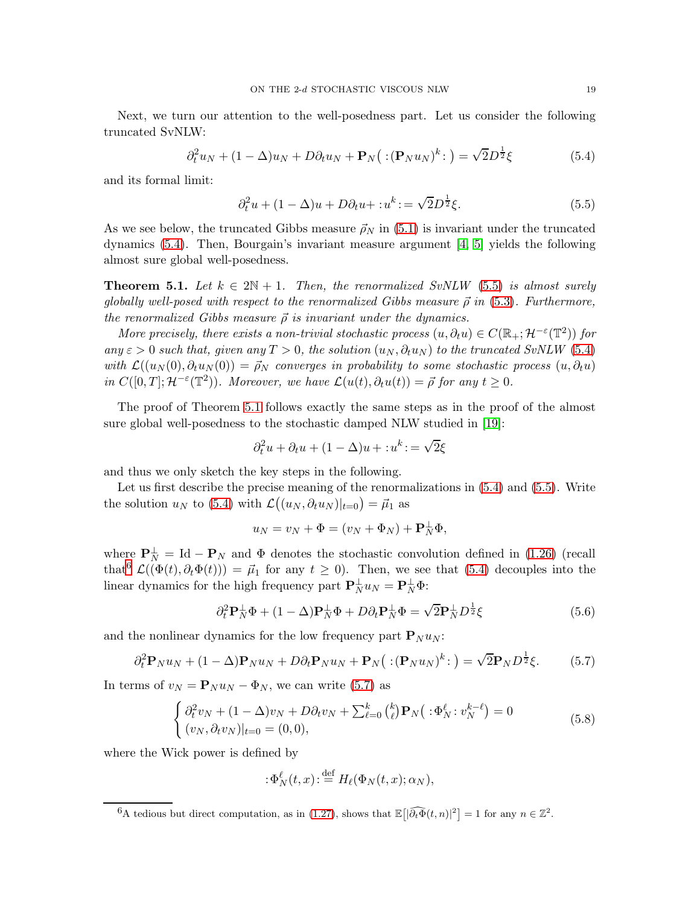Next, we turn our attention to the well-posedness part. Let us consider the following truncated SvNLW:

$$
\partial_t^2 u_N + (1 - \Delta)u_N + D\partial_t u_N + \mathbf{P}_N(\div(\mathbf{P}_N u_N)^k \div) = \sqrt{2}D^{\frac{1}{2}}\xi
$$
 (5.4)

and its formal limit:

<span id="page-18-2"></span><span id="page-18-1"></span>
$$
\partial_t^2 u + (1 - \Delta)u + D\partial_t u + : u^k := \sqrt{2}D^{\frac{1}{2}}\xi.
$$
\n
$$
(5.5)
$$

As we see below, the truncated Gibbs measure  $\vec{\rho}_N$  in [\(5.1\)](#page-17-2) is invariant under the truncated dynamics [\(5.4\)](#page-18-1). Then, Bourgain's invariant measure argument [\[4,](#page-22-8) [5\]](#page-22-5) yields the following almost sure global well-posedness.

<span id="page-18-0"></span>**Theorem 5.1.** Let  $k \in 2\mathbb{N} + 1$ . Then, the renormalized SvNLW [\(5.5\)](#page-18-2) is almost surely globally well-posed with respect to the renormalized Gibbs measure  $\vec{\rho}$  in [\(5.3\)](#page-17-3). Furthermore, the renormalized Gibbs measure  $\vec{\rho}$  is invariant under the dynamics.

More precisely, there exists a non-trivial stochastic process  $(u, \partial_t u) \in C(\mathbb{R}_+; \mathcal{H}^{-\varepsilon}(\mathbb{T}^2))$  for any  $\varepsilon > 0$  such that, given any  $T > 0$ , the solution  $(u_N, \partial_t u_N)$  to the truncated SvNLW [\(5.4\)](#page-18-1) with  $\mathcal{L}((u_N(0), \partial_t u_N(0)) = \vec{\rho}_N$  converges in probability to some stochastic process  $(u, \partial_t u)$ in  $C([0,T]; \mathcal{H}^{-\varepsilon}(\mathbb{T}^2))$ . Moreover, we have  $\mathcal{L}(u(t), \partial_t u(t)) = \vec{\rho}$  for any  $t \geq 0$ .

The proof of Theorem [5.1](#page-18-0) follows exactly the same steps as in the proof of the almost sure global well-posedness to the stochastic damped NLW studied in [\[19\]](#page-22-4):

$$
\partial_t^2 u + \partial_t u + (1 - \Delta)u + : u^k := \sqrt{2}\xi
$$

and thus we only sketch the key steps in the following.

Let us first describe the precise meaning of the renormalizations in [\(5.4\)](#page-18-1) and [\(5.5\)](#page-18-2). Write the solution  $u_N$  to [\(5.4\)](#page-18-1) with  $\mathcal{L}((u_N, \partial_t u_N)|_{t=0}) = \vec{\mu}_1$  as

<span id="page-18-6"></span>
$$
u_N = v_N + \Phi = (v_N + \Phi_N) + \mathbf{P}_N^{\perp} \Phi,
$$

where  $\mathbf{P}_N^{\perp} = \text{Id} - \mathbf{P}_N$  and  $\Phi$  denotes the stochastic convolution defined in [\(1.26\)](#page-6-2) (recall that<sup>[6](#page-18-3)</sup>  $\mathcal{L}((\Phi(t), \partial_t \Phi(t))) = \vec{\mu}_1$  for any  $t \geq 0$ . Then, we see that [\(5.4\)](#page-18-1) decouples into the linear dynamics for the high frequency part  $\mathbf{P}_{N}^{\perp}u_{N} = \mathbf{P}_{N}^{\perp}\Phi$ :

$$
\partial_t^2 \mathbf{P}_N^\perp \Phi + (1 - \Delta) \mathbf{P}_N^\perp \Phi + D \partial_t \mathbf{P}_N^\perp \Phi = \sqrt{2} \mathbf{P}_N^\perp D^{\frac{1}{2}} \xi \tag{5.6}
$$

and the nonlinear dynamics for the low frequency part  ${\bf P}_N u_N$ :

$$
\partial_t^2 \mathbf{P}_N u_N + (1 - \Delta) \mathbf{P}_N u_N + D \partial_t \mathbf{P}_N u_N + \mathbf{P}_N ( :(\mathbf{P}_N u_N)^k : ) = \sqrt{2} \mathbf{P}_N D^{\frac{1}{2}} \xi. \tag{5.7}
$$

In terms of  $v_N = \mathbf{P}_N u_N - \Phi_N$ , we can write [\(5.7\)](#page-18-4) as

$$
\begin{cases} \partial_t^2 v_N + (1 - \Delta) v_N + D \partial_t v_N + \sum_{\ell=0}^k {k \choose \ell} \mathbf{P}_N (\; : \Phi_N^{\ell} : v_N^{k-\ell}) = 0 \\ (v_N, \partial_t v_N)|_{t=0} = (0, 0), \end{cases}
$$
 (5.8)

where the Wick power is defined by

<span id="page-18-5"></span><span id="page-18-4"></span>
$$
:\!\Phi_{N}^{\ell}(t,x)\!:\stackrel{\text{def}}{=} H_{\ell}(\Phi_{N}(t,x);\alpha_{N}),
$$

<span id="page-18-3"></span><sup>&</sup>lt;sup>6</sup>A tedious but direct computation, as in [\(1.27\)](#page-6-4), shows that  $\mathbb{E}\left[\left|\widehat{\partial_t \Phi}(t,n)\right|^2\right] = 1$  for any  $n \in \mathbb{Z}^2$ .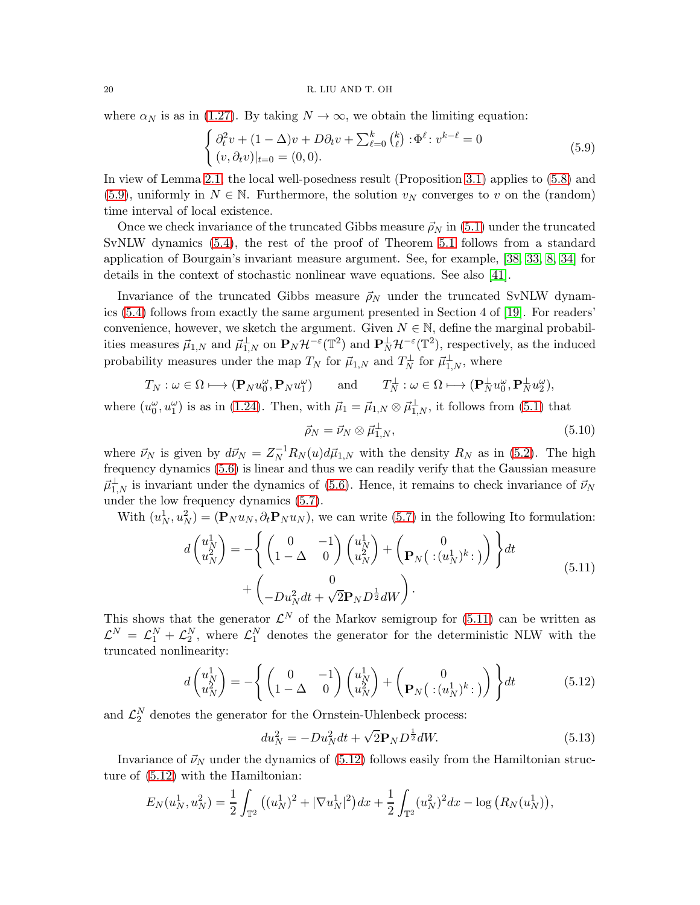where  $\alpha_N$  is as in [\(1.27\)](#page-6-4). By taking  $N \to \infty$ , we obtain the limiting equation:

<span id="page-19-0"></span>
$$
\begin{cases} \partial_t^2 v + (1 - \Delta)v + D\partial_t v + \sum_{\ell=0}^k {k \choose \ell} : \Phi^\ell : v^{k-\ell} = 0 \\ (v, \partial_t v)|_{t=0} = (0, 0). \end{cases}
$$
(5.9)

In view of Lemma [2.1,](#page-10-2) the local well-posedness result (Proposition [3.1\)](#page-13-1) applies to [\(5.8\)](#page-18-5) and [\(5.9\)](#page-19-0), uniformly in  $N \in \mathbb{N}$ . Furthermore, the solution  $v_N$  converges to v on the (random) time interval of local existence.

Once we check invariance of the truncated Gibbs measure  $\vec{\rho}_N$  in [\(5.1\)](#page-17-2) under the truncated SvNLW dynamics [\(5.4\)](#page-18-1), the rest of the proof of Theorem [5.1](#page-18-0) follows from a standard application of Bourgain's invariant measure argument. See, for example, [\[38,](#page-23-20) [33,](#page-23-15) [8,](#page-22-15) [34\]](#page-23-16) for details in the context of stochastic nonlinear wave equations. See also [\[41\]](#page-23-21).

Invariance of the truncated Gibbs measure  $\vec{\rho}_N$  under the truncated SvNLW dynamics [\(5.4\)](#page-18-1) follows from exactly the same argument presented in Section 4 of [\[19\]](#page-22-4). For readers' convenience, however, we sketch the argument. Given  $N \in \mathbb{N}$ , define the marginal probabilities measures  $\vec{\mu}_{1,N}$  and  $\vec{\mu}_{1,N}^{\perp}$  on  $\mathbf{P}_N\mathcal{H}^{-\varepsilon}(\mathbb{T}^2)$  and  $\mathbf{P}_N^{\perp}\mathcal{H}^{-\varepsilon}(\mathbb{T}^2)$ , respectively, as the induced probability measures under the map  $T_N$  for  $\vec{\mu}_{1,N}$  and  $T_N^{\perp}$  for  $\vec{\mu}_{1,N}^{\perp}$ , where

$$
T_N: \omega \in \Omega \longmapsto (\mathbf{P}_N u_0^{\omega}, \mathbf{P}_N u_1^{\omega})
$$
 and  $T_N^{\perp}: \omega \in \Omega \longmapsto (\mathbf{P}_N^{\perp} u_0^{\omega}, \mathbf{P}_N^{\perp} u_2^{\omega}),$ 

where  $(u_0^{\omega}, u_1^{\omega})$  is as in [\(1.24\)](#page-5-3). Then, with  $\vec{\mu}_1 = \vec{\mu}_{1,N} \otimes \vec{\mu}_{1,N}^{\perp}$ , it follows from [\(5.1\)](#page-17-2) that

<span id="page-19-4"></span><span id="page-19-1"></span>
$$
\vec{\rho}_N = \vec{\nu}_N \otimes \vec{\mu}_{1,N}^{\perp},\tag{5.10}
$$

where  $\vec{\nu}_N$  is given by  $d\vec{\nu}_N = Z_N^{-1} R_N(u) d\vec{\mu}_{1,N}$  with the density  $R_N$  as in [\(5.2\)](#page-17-4). The high frequency dynamics [\(5.6\)](#page-18-6) is linear and thus we can readily verify that the Gaussian measure  $\vec{\mu}_{1,N}^{\perp}$  is invariant under the dynamics of [\(5.6\)](#page-18-6). Hence, it remains to check invariance of  $\vec{\nu}_N$ under the low frequency dynamics [\(5.7\)](#page-18-4).

With  $(u_N^1, u_N^2) = (\mathbf{P}_N u_N, \partial_t \mathbf{P}_N u_N)$ , we can write [\(5.7\)](#page-18-4) in the following Ito formulation:

$$
d\begin{pmatrix} u_N^1 \\ u_N^2 \end{pmatrix} = -\left\{ \begin{pmatrix} 0 & -1 \\ 1 - \Delta & 0 \end{pmatrix} \begin{pmatrix} u_N^1 \\ u_N^2 \end{pmatrix} + \begin{pmatrix} 0 \\ \mathbf{P}_N \end{pmatrix} \begin{pmatrix} u_N^1 \\ \vdots \\ u_N^N \end{pmatrix} \right\} dt + \begin{pmatrix} 0 \\ -Du_N^2 dt + \sqrt{2} \mathbf{P}_N D^{\frac{1}{2}} dW \end{pmatrix}.
$$
\n(5.11)

This shows that the generator  $\mathcal{L}^N$  of the Markov semigroup for [\(5.11\)](#page-19-1) can be written as  $\mathcal{L}^N = \mathcal{L}_1^N + \mathcal{L}_2^N$ , where  $\mathcal{L}_1^N$  denotes the generator for the deterministic NLW with the truncated nonlinearity:

$$
d\begin{pmatrix} u_N^1 \\ u_N^2 \end{pmatrix} = -\left\{ \begin{pmatrix} 0 & -1 \\ 1 - \Delta & 0 \end{pmatrix} \begin{pmatrix} u_N^1 \\ u_N^2 \end{pmatrix} + \begin{pmatrix} 0 \\ \mathbf{P}_N \end{pmatrix} \begin{pmatrix} u_N^1 \\ \vdots \\ u_N^N \end{pmatrix} \right\} dt \tag{5.12}
$$

and  $\mathcal{L}_2^N$  denotes the generator for the Ornstein-Uhlenbeck process:

<span id="page-19-3"></span><span id="page-19-2"></span>
$$
du_N^2 = -Du_N^2 dt + \sqrt{2} \mathbf{P}_N D^{\frac{1}{2}} dW.
$$
\n(5.13)

Invariance of  $\vec{\nu}_N$  under the dynamics of [\(5.12\)](#page-19-2) follows easily from the Hamiltonian structure of [\(5.12\)](#page-19-2) with the Hamiltonian:

$$
E_N(u_N^1, u_N^2) = \frac{1}{2} \int_{\mathbb{T}^2} \left( (u_N^1)^2 + |\nabla u_N^1|^2 \right) dx + \frac{1}{2} \int_{\mathbb{T}^2} (u_N^2)^2 dx - \log \left( R_N(u_N^1) \right),
$$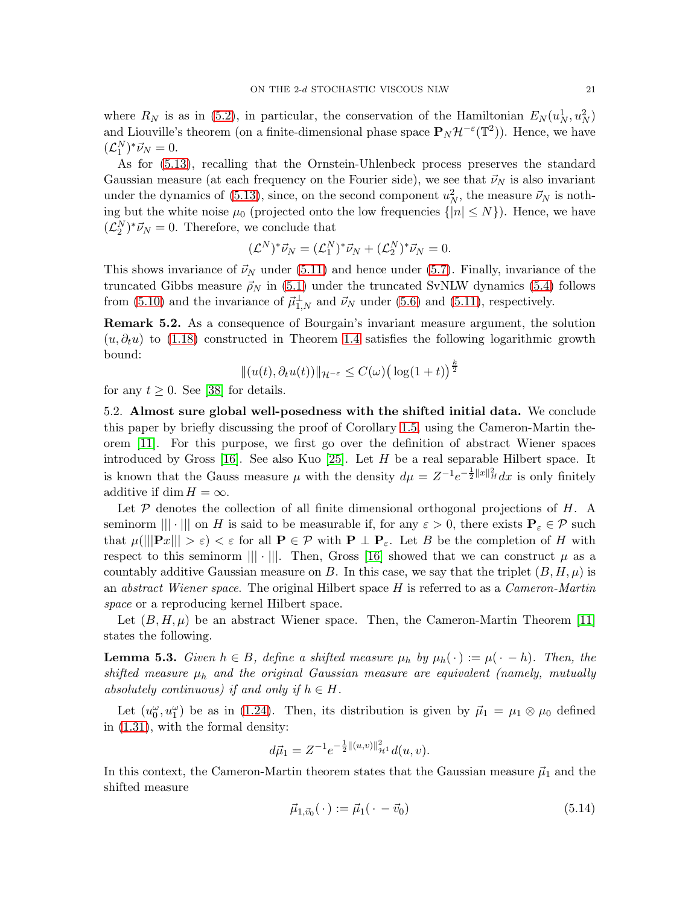where  $R_N$  is as in [\(5.2\)](#page-17-4), in particular, the conservation of the Hamiltonian  $E_N(u_N^1, u_N^2)$ and Liouville's theorem (on a finite-dimensional phase space  $\mathbf{P}_N\mathcal{H}^{-\varepsilon}(\mathbb{T}^2)$ ). Hence, we have  $(\mathcal{L}_1^N)^* \vec{\nu}_N = 0.$ 

As for [\(5.13\)](#page-19-3), recalling that the Ornstein-Uhlenbeck process preserves the standard Gaussian measure (at each frequency on the Fourier side), we see that  $\vec{\nu}_N$  is also invariant under the dynamics of [\(5.13\)](#page-19-3), since, on the second component  $u_N^2$ , the measure  $\vec{\nu}_N$  is nothing but the white noise  $\mu_0$  (projected onto the low frequencies  $\{|n| \leq N\}$ ). Hence, we have  $(\mathcal{L}_2^N)^* \vec{\nu}_N = 0$ . Therefore, we conclude that

$$
(\mathcal{L}^N)^* \vec{\nu}_N = (\mathcal{L}_1^N)^* \vec{\nu}_N + (\mathcal{L}_2^N)^* \vec{\nu}_N = 0.
$$

This shows invariance of  $\vec{\nu}_N$  under [\(5.11\)](#page-19-1) and hence under [\(5.7\)](#page-18-4). Finally, invariance of the truncated Gibbs measure  $\vec{\rho}_N$  in [\(5.1\)](#page-17-2) under the truncated SvNLW dynamics [\(5.4\)](#page-18-1) follows from [\(5.10\)](#page-19-4) and the invariance of  $\vec{\mu}_{1,N}^{\perp}$  and  $\vec{\nu}_N$  under [\(5.6\)](#page-18-6) and [\(5.11\)](#page-19-1), respectively.

Remark 5.2. As a consequence of Bourgain's invariant measure argument, the solution  $(u, \partial_t u)$  to [\(1.18\)](#page-4-3) constructed in Theorem [1.4](#page-6-0) satisfies the following logarithmic growth bound:

$$
\|(u(t),\partial_t u(t))\|_{\mathcal{H}^{-\varepsilon}}\leq C(\omega)\big(\log(1+t)\big)^{\frac{k}{2}}
$$

<span id="page-20-0"></span>for any  $t \geq 0$ . See [\[38\]](#page-23-20) for details.

5.2. Almost sure global well-posedness with the shifted initial data. We conclude this paper by briefly discussing the proof of Corollary [1.5,](#page-7-2) using the Cameron-Martin theorem [\[11\]](#page-22-9). For this purpose, we first go over the definition of abstract Wiener spaces introduced by Gross  $[16]$ . See also Kuo  $[25]$ . Let H be a real separable Hilbert space. It is known that the Gauss measure  $\mu$  with the density  $d\mu = Z^{-1}e^{-\frac{1}{2}\|x\|_H^2}dx$  is only finitely additive if dim  $H = \infty$ .

Let  $P$  denotes the collection of all finite dimensional orthogonal projections of  $H$ . A seminorm  $\| \cdot \|$  on H is said to be measurable if, for any  $\varepsilon > 0$ , there exists  $P_{\varepsilon} \in \mathcal{P}$  such that  $\mu(||\mathbf{P}x|| > \varepsilon) < \varepsilon$  for all  $\mathbf{P} \in \mathcal{P}$  with  $\mathbf{P} \perp \mathbf{P}_{\varepsilon}$ . Let B be the completion of H with respect to this seminorm  $|||\cdot|||$ . Then, Gross [\[16\]](#page-22-22) showed that we can construct  $\mu$  as a countably additive Gaussian measure on B. In this case, we say that the triplet  $(B, H, \mu)$  is an *abstract Wiener space*. The original Hilbert space  $H$  is referred to as a *Cameron-Martin* space or a reproducing kernel Hilbert space.

Let  $(B, H, \mu)$  be an abstract Wiener space. Then, the Cameron-Martin Theorem [\[11\]](#page-22-9) states the following.

<span id="page-20-1"></span>**Lemma 5.3.** Given  $h \in B$ , define a shifted measure  $\mu_h$  by  $\mu_h(\cdot) := \mu(\cdot - h)$ . Then, the shifted measure  $\mu_h$  and the original Gaussian measure are equivalent (namely, mutually absolutely continuous) if and only if  $h \in H$ .

Let  $(u_0^{\omega}, u_1^{\omega})$  be as in [\(1.24\)](#page-5-3). Then, its distribution is given by  $\vec{\mu}_1 = \mu_1 \otimes \mu_0$  defined in [\(1.31\)](#page-7-3), with the formal density:

$$
d\vec{\mu}_1 = Z^{-1} e^{-\frac{1}{2} ||(u,v)||^2_{\mathcal{H}^1}} d(u,v).
$$

In this context, the Cameron-Martin theorem states that the Gaussian measure  $\vec{\mu}_1$  and the shifted measure

<span id="page-20-2"></span>
$$
\vec{\mu}_{1,\vec{v}_0}(\cdot) := \vec{\mu}_1(\cdot - \vec{v}_0) \tag{5.14}
$$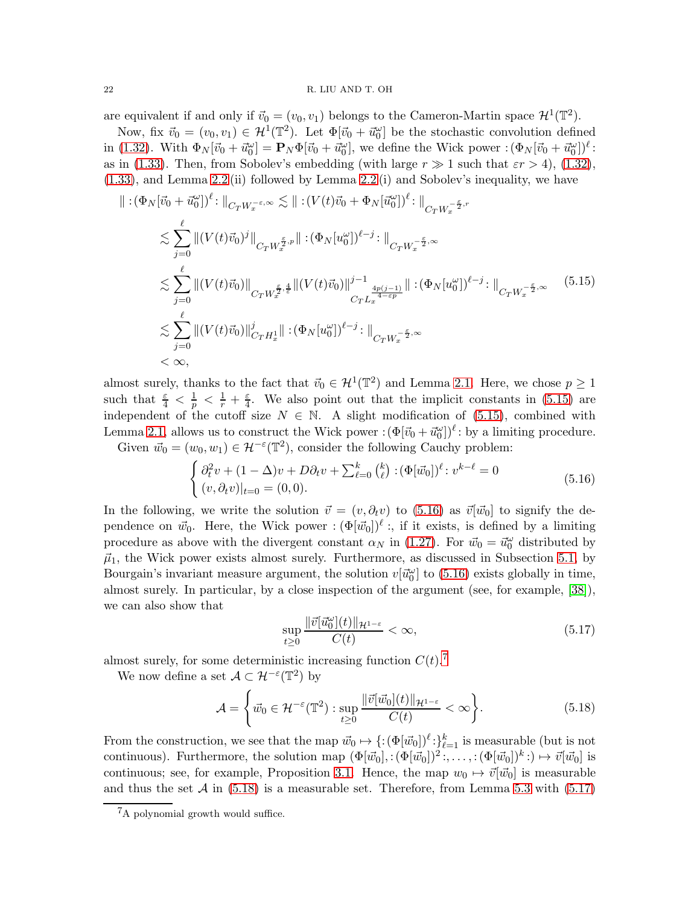#### 22 R. LIU AND T. OH

are equivalent if and only if  $\vec{v}_0 = (v_0, v_1)$  belongs to the Cameron-Martin space  $\mathcal{H}^1(\mathbb{T}^2)$ .

Now, fix  $\vec{v}_0 = (v_0, v_1) \in \mathcal{H}^1(\mathbb{T}^2)$ . Let  $\Phi[\vec{v}_0 + \vec{u}_0^{\omega}]$  be the stochastic convolution defined in [\(1.32\)](#page-7-4). With  $\Phi_N[\vec{v}_0 + \vec{u}_0^{\omega}] = \mathbf{P}_N \Phi[\vec{v}_0 + \vec{u}_0^{\omega}],$  we define the Wick power  $\cdot (\Phi_N[\vec{v}_0 + \vec{u}_0^{\omega}])^{\ell}$ : as in [\(1.33\)](#page-7-1). Then, from Sobolev's embedding (with large  $r \gg 1$  such that  $\epsilon r > 4$ ), [\(1.32\)](#page-7-4), [\(1.33\)](#page-7-1), and Lemma [2.2](#page-12-2) (ii) followed by Lemma [2.2](#page-12-2) (i) and Sobolev's inequality, we have

$$
\| : (\Phi_N[\vec{v}_0 + \vec{u}_0^{\omega}])^{\ell} : \|_{C_T W_x^{-\epsilon, \infty}} \lesssim \| : (V(t)\vec{v}_0 + \Phi_N[\vec{u}_0^{\omega}])^{\ell} : \|_{C_T W_x^{-\frac{\epsilon}{2}, r}}
$$
  
\n
$$
\lesssim \sum_{j=0}^{\ell} \| (V(t)\vec{v}_0)^j \|_{C_T W_x^{\frac{\epsilon}{2}, p}} \| : (\Phi_N[u_0^{\omega}])^{\ell-j} : \|_{C_T W_x^{-\frac{\epsilon}{2}, \infty}}
$$
  
\n
$$
\lesssim \sum_{j=0}^{\ell} \| (V(t)\vec{v}_0) \|_{C_T W_x^{\frac{\epsilon}{2}, \frac{4}{\epsilon}}} \| (V(t)\vec{v}_0) \|_{C_T L_x^{\frac{4p(j-1)}{4-\epsilon p}}} \| : (\Phi_N[u_0^{\omega}])^{\ell-j} : \|_{C_T W_x^{-\frac{\epsilon}{2}, \infty}}
$$
  
\n
$$
\lesssim \sum_{j=0}^{\ell} \| (V(t)\vec{v}_0) \|_{C_T H_x^1}^j \| : (\Phi_N[u_0^{\omega}])^{\ell-j} : \|_{C_T W_x^{-\frac{\epsilon}{2}, \infty}}
$$
  
\n
$$
< \infty,
$$
  
\n(5.15)

almost surely, thanks to the fact that  $\vec{v}_0 \in \mathcal{H}^1(\mathbb{T}^2)$  and Lemma [2.1.](#page-10-2) Here, we chose  $p \geq 1$ such that  $\frac{\varepsilon}{4} < \frac{1}{p} < \frac{1}{r} + \frac{\varepsilon}{4}$  $\frac{\varepsilon}{4}$ . We also point out that the implicit constants in [\(5.15\)](#page-21-0) are independent of the cutoff size  $N \in \mathbb{N}$ . A slight modification of [\(5.15\)](#page-21-0), combined with Lemma [2.1,](#page-10-2) allows us to construct the Wick power  $:(\Phi[\vec{v}_0 + \vec{u}_0^{\omega}])^{\ell}$ : by a limiting procedure. Given  $\vec{w}_0 = (w_0, w_1) \in \mathcal{H}^{-\varepsilon}(\mathbb{T}^2)$ , consider the following Cauchy problem:

<span id="page-21-1"></span><span id="page-21-0"></span>
$$
\begin{cases} \partial_t^2 v + (1 - \Delta)v + D\partial_t v + \sum_{\ell=0}^k {k \choose \ell} : (\Phi[\vec{w}_0])^\ell : v^{k-\ell} = 0 \\ (v, \partial_t v)|_{t=0} = (0, 0). \end{cases}
$$
(5.16)

In the following, we write the solution  $\vec{v} = (v, \partial_t v)$  to [\(5.16\)](#page-21-1) as  $\vec{v}[\vec{w_0}]$  to signify the dependence on  $\vec{w}_0$ . Here, the Wick power :  $(\Phi[\vec{w}_0])^{\ell}$ :, if it exists, is defined by a limiting procedure as above with the divergent constant  $\alpha_N$  in [\(1.27\)](#page-6-4). For  $\vec{w}_0 = \vec{w}_0^{\omega}$  distributed by  $\vec{\mu}_1$ , the Wick power exists almost surely. Furthermore, as discussed in Subsection [5.1,](#page-17-1) by Bourgain's invariant measure argument, the solution  $v[\vec{u}_0^{\omega}]$  to [\(5.16\)](#page-21-1) exists globally in time, almost surely. In particular, by a close inspection of the argument (see, for example, [\[38\]](#page-23-20)), we can also show that

<span id="page-21-4"></span><span id="page-21-3"></span>
$$
\sup_{t\geq 0} \frac{\|\vec{v}[\vec{u}_0^{\omega}](t)\|_{\mathcal{H}^{1-\varepsilon}}}{C(t)} < \infty,\tag{5.17}
$$

almost surely, for some deterministic increasing function  $C(t)$ .<sup>[7](#page-21-2)</sup>

We now define a set  $\mathcal{A} \subset \mathcal{H}^{-\varepsilon}(\mathbb{T}^2)$  by

$$
\mathcal{A} = \left\{ \vec{w}_0 \in \mathcal{H}^{-\varepsilon}(\mathbb{T}^2) : \sup_{t \ge 0} \frac{\|\vec{v}[\vec{w}_0](t)\|_{\mathcal{H}^{1-\varepsilon}}}{C(t)} < \infty \right\}.
$$
 (5.18)

From the construction, we see that the map  $\vec{w}_0 \mapsto \{:(\Phi[\vec{w}_0])^{\ell}:\}_{\ell=1}^{k}$  is measurable (but is not continuous). Furthermore, the solution map  $(\Phi[\vec{w}_0],:(\Phi[\vec{w}_0])^2:,\ldots,:(\Phi[\vec{w}_0])^k:\to\vec{v}[\vec{w}_0]$  is continuous; see, for example, Proposition [3.1.](#page-13-1) Hence, the map  $w_0 \mapsto \vec{v}[\vec{w}_0]$  is measurable and thus the set  $A$  in [\(5.18\)](#page-21-3) is a measurable set. Therefore, from Lemma [5.3](#page-20-1) with [\(5.17\)](#page-21-4)

<span id="page-21-2"></span><sup>7</sup>A polynomial growth would suffice.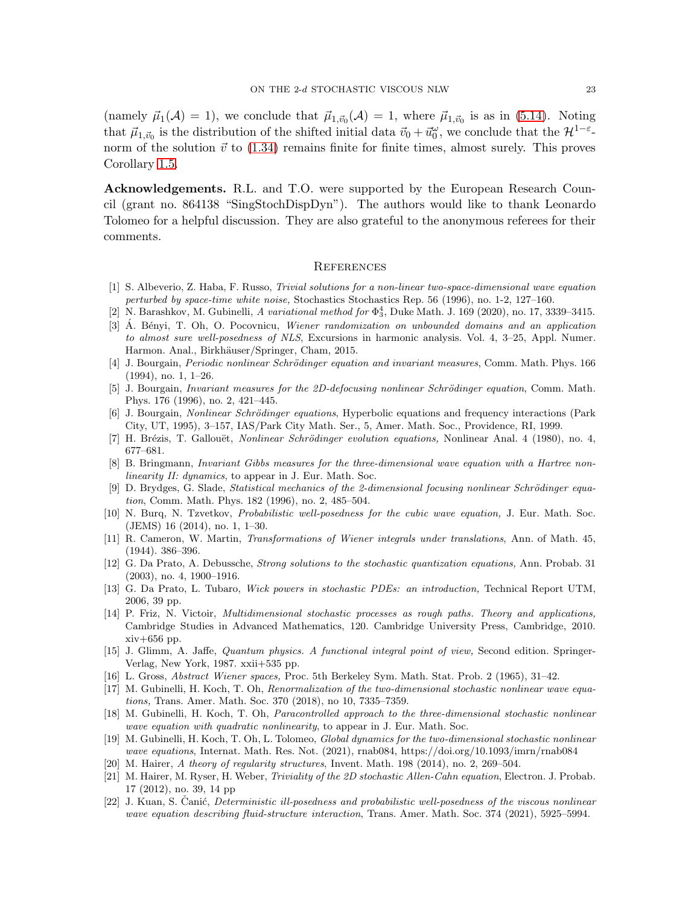(namely  $\vec{\mu}_1(\mathcal{A}) = 1$ ), we conclude that  $\vec{\mu}_{1,\vec{v}_0}(\mathcal{A}) = 1$ , where  $\vec{\mu}_{1,\vec{v}_0}$  is as in [\(5.14\)](#page-20-2). Noting that  $\vec{\mu}_{1,\vec{v}_0}$  is the distribution of the shifted initial data  $\vec{v}_0 + \vec{u}_0^{\omega}$ , we conclude that the  $\mathcal{H}^{1-\varepsilon}$ norm of the solution  $\vec{v}$  to [\(1.34\)](#page-7-0) remains finite for finite times, almost surely. This proves Corollary [1.5.](#page-7-2)

Acknowledgements. R.L. and T.O. were supported by the European Research Council (grant no. 864138 "SingStochDispDyn"). The authors would like to thank Leonardo Tolomeo for a helpful discussion. They are also grateful to the anonymous referees for their comments.

#### <span id="page-22-0"></span>**REFERENCES**

- <span id="page-22-12"></span>[1] S. Albeverio, Z. Haba, F. Russo, *Trivial solutions for a non-linear two-space-dimensional wave equation perturbed by space-time white noise,* Stochastics Stochastics Rep. 56 (1996), no. 1-2, 127–160.
- <span id="page-22-18"></span><span id="page-22-16"></span>[2] N. Barashkov, M. Gubinelli, *A variational method for* Φ 4 <sup>3</sup>, Duke Math. J. 169 (2020), no. 17, 3339–3415.
- [3] A. B´enyi, T. Oh, O. Pocovnicu, ´ *Wiener randomization on unbounded domains and an application to almost sure well-posedness of NLS*, Excursions in harmonic analysis. Vol. 4, 3–25, Appl. Numer. Harmon. Anal., Birkhäuser/Springer, Cham, 2015.
- <span id="page-22-8"></span>[4] J. Bourgain, *Periodic nonlinear Schrödinger equation and invariant measures*, Comm. Math. Phys. 166 (1994), no. 1, 1–26.
- <span id="page-22-5"></span>[5] J. Bourgain, *Invariant measures for the 2D-defocusing nonlinear Schrödinger equation*, Comm. Math. Phys. 176 (1996), no. 2, 421–445.
- <span id="page-22-10"></span>[6] J. Bourgain, *Nonlinear Schrödinger equations*, Hyperbolic equations and frequency interactions (Park City, UT, 1995), 3–157, IAS/Park City Math. Ser., 5, Amer. Math. Soc., Providence, RI, 1999.
- <span id="page-22-15"></span><span id="page-22-6"></span>[7] H. Brézis, T. Gallouët, *Nonlinear Schrödinger evolution equations*, Nonlinear Anal. 4 (1980), no. 4, 677–681.
- [8] B. Bringmann, *Invariant Gibbs measures for the three-dimensional wave equation with a Hartree nonlinearity II: dynamics*, to appear in J. Eur. Math. Soc.
- <span id="page-22-11"></span>[9] D. Brydges, G. Slade, *Statistical mechanics of the 2-dimensional focusing nonlinear Schrödinger equation*, Comm. Math. Phys. 182 (1996), no. 2, 485–504.
- <span id="page-22-7"></span>[10] N. Burq, N. Tzvetkov, *Probabilistic well-posedness for the cubic wave equation,* J. Eur. Math. Soc. (JEMS) 16 (2014), no. 1, 1–30.
- <span id="page-22-9"></span>[11] R. Cameron, W. Martin, *Transformations of Wiener integrals under translations*, Ann. of Math. 45, (1944). 386–396.
- <span id="page-22-2"></span>[12] G. Da Prato, A. Debussche, *Strong solutions to the stochastic quantization equations,* Ann. Probab. 31 (2003), no. 4, 1900–1916.
- <span id="page-22-21"></span>[13] G. Da Prato, L. Tubaro, *Wick powers in stochastic PDEs: an introduction,* Technical Report UTM, 2006, 39 pp.
- <span id="page-22-19"></span>[14] P. Friz, N. Victoir, *Multidimensional stochastic processes as rough paths. Theory and applications,* Cambridge Studies in Advanced Mathematics, 120. Cambridge University Press, Cambridge, 2010. xiv+656 pp.
- <span id="page-22-20"></span>[15] J. Glimm, A. Jaffe, *Quantum physics. A functional integral point of view,* Second edition. Springer-Verlag, New York, 1987. xxii+535 pp.
- <span id="page-22-22"></span><span id="page-22-3"></span>[16] L. Gross, *Abstract Wiener spaces,* Proc. 5th Berkeley Sym. Math. Stat. Prob. 2 (1965), 31–42.
- [17] M. Gubinelli, H. Koch, T. Oh, *Renormalization of the two-dimensional stochastic nonlinear wave equations,* Trans. Amer. Math. Soc. 370 (2018), no 10, 7335–7359.
- <span id="page-22-14"></span>[18] M. Gubinelli, H. Koch, T. Oh, *Paracontrolled approach to the three-dimensional stochastic nonlinear wave equation with quadratic nonlinearity*, to appear in J. Eur. Math. Soc.
- <span id="page-22-4"></span>[19] M. Gubinelli, H. Koch, T. Oh, L. Tolomeo, *Global dynamics for the two-dimensional stochastic nonlinear wave equations*, Internat. Math. Res. Not. (2021), rnab084, https://doi.org/10.1093/imrn/rnab084
- <span id="page-22-17"></span><span id="page-22-13"></span>[20] M. Hairer, *A theory of regularity structures*, Invent. Math. 198 (2014), no. 2, 269–504.
- [21] M. Hairer, M. Ryser, H. Weber, *Triviality of the 2D stochastic Allen-Cahn equation*, Electron. J. Probab. 17 (2012), no. 39, 14 pp
- <span id="page-22-1"></span>[22] J. Kuan, S. Canić, *Deterministic ill-posedness and probabilistic well-posedness of the viscous nonlinear wave equation describing fluid-structure interaction*, Trans. Amer. Math. Soc. 374 (2021), 5925–5994.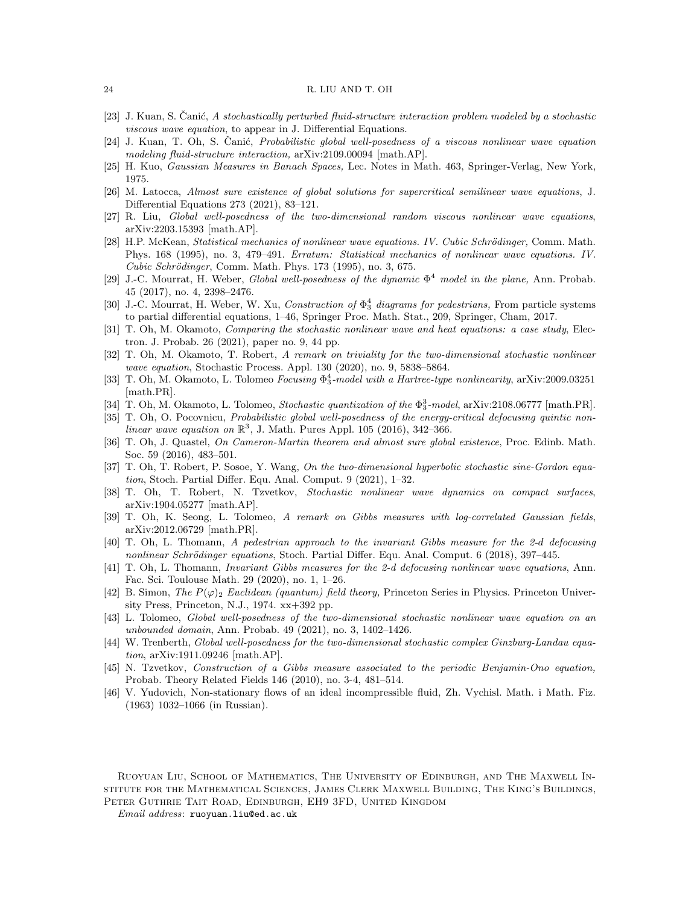#### <span id="page-23-2"></span>24 R. LIU AND T. OH

- <span id="page-23-0"></span>[23] J. Kuan, S. Canić, A stochastically perturbed fluid-structure interaction problem modeled by a stochastic *viscous wave equation*, to appear in J. Differential Equations.
- <span id="page-23-22"></span>[24] J. Kuan, T. Oh, S. Canić, *Probabilistic global well-posedness of a viscous nonlinear wave equation modeling fluid-structure interaction,* arXiv:2109.00094 [math.AP].
- <span id="page-23-9"></span>[25] H. Kuo, *Gaussian Measures in Banach Spaces,* Lec. Notes in Math. 463, Springer-Verlag, New York, 1975.
- <span id="page-23-1"></span>[26] M. Latocca, *Almost sure existence of global solutions for supercritical semilinear wave equations*, J. Differential Equations 273 (2021), 83–121.
- <span id="page-23-5"></span>[27] R. Liu, *Global well-posedness of the two-dimensional random viscous nonlinear wave equations*, arXiv:2203.15393 [math.AP].
- [28] H.P. McKean, *Statistical mechanics of nonlinear wave equations. IV. Cubic Schrödinger*, Comm. Math. Phys. 168 (1995), no. 3, 479–491. *Erratum: Statistical mechanics of nonlinear wave equations. IV. Cubic Schrödinger*, Comm. Math. Phys. 173 (1995), no. 3, 675.
- <span id="page-23-3"></span>[29] J.-C. Mourrat, H. Weber, *Global well-posedness of the dynamic* Φ <sup>4</sup> *model in the plane,* Ann. Probab. 45 (2017), no. 4, 2398–2476.
- <span id="page-23-17"></span>[30] J.-C. Mourrat, H. Weber, W. Xu, *Construction of* Φ 4 <sup>3</sup> *diagrams for pedestrians,* From particle systems to partial differential equations, 1–46, Springer Proc. Math. Stat., 209, Springer, Cham, 2017.
- <span id="page-23-4"></span>[31] T. Oh, M. Okamoto, *Comparing the stochastic nonlinear wave and heat equations: a case study*, Electron. J. Probab. 26 (2021), paper no. 9, 44 pp.
- <span id="page-23-13"></span>[32] T. Oh, M. Okamoto, T. Robert, *A remark on triviality for the two-dimensional stochastic nonlinear wave equation*, Stochastic Process. Appl. 130 (2020), no. 9, 5838–5864.
- <span id="page-23-15"></span>[33] T. Oh, M. Okamoto, L. Tolomeo *Focusing*  $\Phi_3^4$ -model with a Hartree-type nonlinearity, arXiv:2009.03251 [math.PR].
- <span id="page-23-16"></span><span id="page-23-8"></span>[34] T. Oh, M. Okamoto, L. Tolomeo, *Stochastic quantization of the* Φ 3 <sup>3</sup>*-model*, arXiv:2108.06777 [math.PR].
- [35] T. Oh, O. Pocovnicu, *Probabilistic global well-posedness of the energy-critical defocusing quintic nonlinear wave equation on*  $\mathbb{R}^3$ , J. Math. Pures Appl. 105 (2016), 342-366.
- <span id="page-23-7"></span>[36] T. Oh, J. Quastel, *On Cameron-Martin theorem and almost sure global existence*, Proc. Edinb. Math. Soc. 59 (2016), 483–501.
- <span id="page-23-14"></span>[37] T. Oh, T. Robert, P. Sosoe, Y. Wang, *On the two-dimensional hyperbolic stochastic sine-Gordon equation*, Stoch. Partial Differ. Equ. Anal. Comput. 9 (2021), 1–32.
- <span id="page-23-20"></span>[38] T. Oh, T. Robert, N. Tzvetkov, *Stochastic nonlinear wave dynamics on compact surfaces*, arXiv:1904.05277 [math.AP].
- <span id="page-23-11"></span>[39] T. Oh, K. Seong, L. Tolomeo, *A remark on Gibbs measures with log-correlated Gaussian fields*, arXiv:2012.06729 [math.PR].
- <span id="page-23-19"></span>[40] T. Oh, L. Thomann, *A pedestrian approach to the invariant Gibbs measure for the 2-*d *defocusing nonlinear Schrödinger equations*, Stoch. Partial Differ. Equ. Anal. Comput. 6 (2018), 397–445.
- <span id="page-23-21"></span>[41] T. Oh, L. Thomann, *Invariant Gibbs measures for the 2-d defocusing nonlinear wave equations*, Ann. Fac. Sci. Toulouse Math. 29 (2020), no. 1, 1–26.
- <span id="page-23-18"></span>[42] B. Simon, *The*  $P(\varphi)$ <sub>2</sub> *Euclidean (quantum) field theory*, Princeton Series in Physics. Princeton University Press, Princeton, N.J., 1974. xx+392 pp.
- <span id="page-23-12"></span>[43] L. Tolomeo, *Global well-posedness of the two-dimensional stochastic nonlinear wave equation on an unbounded domain*, Ann. Probab. 49 (2021), no. 3, 1402–1426.
- <span id="page-23-10"></span>[44] W. Trenberth, *Global well-posedness for the two-dimensional stochastic complex Ginzburg-Landau equation*, arXiv:1911.09246 [math.AP].
- [45] N. Tzvetkov, *Construction of a Gibbs measure associated to the periodic Benjamin-Ono equation,* Probab. Theory Related Fields 146 (2010), no. 3-4, 481–514.
- <span id="page-23-6"></span>[46] V. Yudovich, Non-stationary flows of an ideal incompressible fluid, Zh. Vychisl. Math. i Math. Fiz. (1963) 1032–1066 (in Russian).

Ruoyuan Liu, School of Mathematics, The University of Edinburgh, and The Maxwell Institute for the Mathematical Sciences, James Clerk Maxwell Building, The King's Buildings, Peter Guthrie Tait Road, Edinburgh, EH9 3FD, United Kingdom

*Email address*: ruoyuan.liu@ed.ac.uk